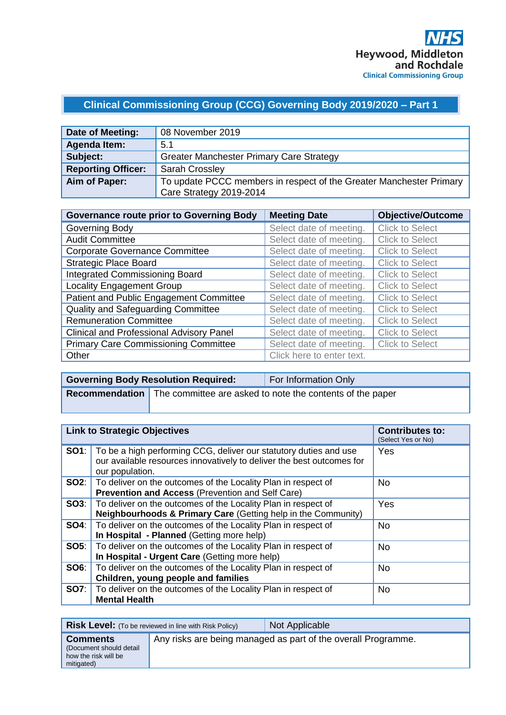# **Clinical Commissioning Group (CCG) Governing Body 2019/2020 – Part 1**

| Date of Meeting:          | 08 November 2019                                                    |
|---------------------------|---------------------------------------------------------------------|
| <b>Agenda Item:</b>       | 5.1                                                                 |
| Subject:                  | <b>Greater Manchester Primary Care Strategy</b>                     |
| <b>Reporting Officer:</b> | <b>Sarah Crossley</b>                                               |
| Aim of Paper:             | To update PCCC members in respect of the Greater Manchester Primary |
|                           | Care Strategy 2019-2014                                             |

| <b>Governance route prior to Governing Body</b> | <b>Meeting Date</b>       | <b>Objective/Outcome</b> |
|-------------------------------------------------|---------------------------|--------------------------|
| Governing Body                                  | Select date of meeting.   | <b>Click to Select</b>   |
| <b>Audit Committee</b>                          | Select date of meeting.   | <b>Click to Select</b>   |
| <b>Corporate Governance Committee</b>           | Select date of meeting.   | <b>Click to Select</b>   |
| <b>Strategic Place Board</b>                    | Select date of meeting.   | <b>Click to Select</b>   |
| <b>Integrated Commissioning Board</b>           | Select date of meeting.   | <b>Click to Select</b>   |
| <b>Locality Engagement Group</b>                | Select date of meeting.   | <b>Click to Select</b>   |
| Patient and Public Engagement Committee         | Select date of meeting.   | <b>Click to Select</b>   |
| Quality and Safeguarding Committee              | Select date of meeting.   | <b>Click to Select</b>   |
| <b>Remuneration Committee</b>                   | Select date of meeting.   | <b>Click to Select</b>   |
| <b>Clinical and Professional Advisory Panel</b> | Select date of meeting.   | <b>Click to Select</b>   |
| <b>Primary Care Commissioning Committee</b>     | Select date of meeting.   | <b>Click to Select</b>   |
| Other                                           | Click here to enter text. |                          |

| <b>Governing Body Resolution Required:</b> | <b>For Information Only</b>                                                     |
|--------------------------------------------|---------------------------------------------------------------------------------|
|                                            | <b>Recommendation</b> The committee are asked to note the contents of the paper |

| <b>Link to Strategic Objectives</b> |                                                                                                                                                               | <b>Contributes to:</b><br>(Select Yes or No) |
|-------------------------------------|---------------------------------------------------------------------------------------------------------------------------------------------------------------|----------------------------------------------|
| SO1:                                | To be a high performing CCG, deliver our statutory duties and use<br>our available resources innovatively to deliver the best outcomes for<br>our population. | Yes                                          |
|                                     | <b>SO2:</b>   To deliver on the outcomes of the Locality Plan in respect of<br>Prevention and Access (Prevention and Self Care)                               | <b>No</b>                                    |
| SOS:                                | To deliver on the outcomes of the Locality Plan in respect of<br>Neighbourhoods & Primary Care (Getting help in the Community)                                | Yes                                          |
| <b>SO4:</b>                         | To deliver on the outcomes of the Locality Plan in respect of<br>In Hospital - Planned (Getting more help)                                                    | No.                                          |
| <b>SO5:</b>                         | To deliver on the outcomes of the Locality Plan in respect of<br>In Hospital - Urgent Care (Getting more help)                                                | <b>No</b>                                    |
| SO6:                                | To deliver on the outcomes of the Locality Plan in respect of<br>Children, young people and families                                                          | <b>No</b>                                    |
| <b>SO7:</b>                         | To deliver on the outcomes of the Locality Plan in respect of<br><b>Mental Health</b>                                                                         | <b>No</b>                                    |

|                                                                                  | <b>Risk Level:</b> (To be reviewed in line with Risk Policy) | Not Applicable                                                |
|----------------------------------------------------------------------------------|--------------------------------------------------------------|---------------------------------------------------------------|
| <b>Comments</b><br>(Document should detail<br>how the risk will be<br>mitigated) |                                                              | Any risks are being managed as part of the overall Programme. |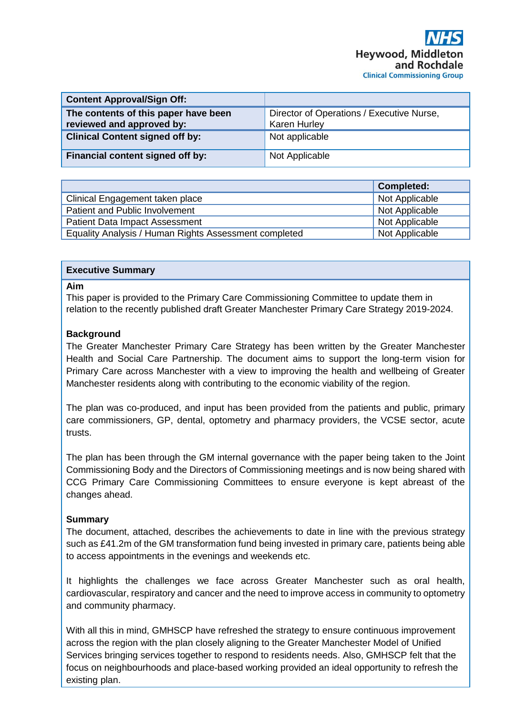| <b>Content Approval/Sign Off:</b>                                 |                                                                  |
|-------------------------------------------------------------------|------------------------------------------------------------------|
| The contents of this paper have been<br>reviewed and approved by: | Director of Operations / Executive Nurse,<br><b>Karen Hurley</b> |
| <b>Clinical Content signed off by:</b>                            | Not applicable                                                   |
| Financial content signed off by:                                  | Not Applicable                                                   |

|                                                       | <b>Completed:</b> |
|-------------------------------------------------------|-------------------|
| Clinical Engagement taken place                       | Not Applicable    |
| Patient and Public Involvement                        | Not Applicable    |
| <b>Patient Data Impact Assessment</b>                 | Not Applicable    |
| Equality Analysis / Human Rights Assessment completed | Not Applicable    |

# **Executive Summary**

#### **Aim**

This paper is provided to the Primary Care Commissioning Committee to update them in relation to the recently published draft Greater Manchester Primary Care Strategy 2019-2024.

#### **Background**

The Greater Manchester Primary Care Strategy has been written by the Greater Manchester Health and Social Care Partnership. The document aims to support the long-term vision for Primary Care across Manchester with a view to improving the health and wellbeing of Greater Manchester residents along with contributing to the economic viability of the region.

The plan was co-produced, and input has been provided from the patients and public, primary care commissioners, GP, dental, optometry and pharmacy providers, the VCSE sector, acute trusts.

The plan has been through the GM internal governance with the paper being taken to the Joint Commissioning Body and the Directors of Commissioning meetings and is now being shared with CCG Primary Care Commissioning Committees to ensure everyone is kept abreast of the changes ahead.

# **Summary**

The document, attached, describes the achievements to date in line with the previous strategy such as £41.2m of the GM transformation fund being invested in primary care, patients being able to access appointments in the evenings and weekends etc.

It highlights the challenges we face across Greater Manchester such as oral health, cardiovascular, respiratory and cancer and the need to improve access in community to optometry and community pharmacy.

With all this in mind, GMHSCP have refreshed the strategy to ensure continuous improvement across the region with the plan closely aligning to the Greater Manchester Model of Unified Services bringing services together to respond to residents needs. Also, GMHSCP felt that the focus on neighbourhoods and place-based working provided an ideal opportunity to refresh the existing plan.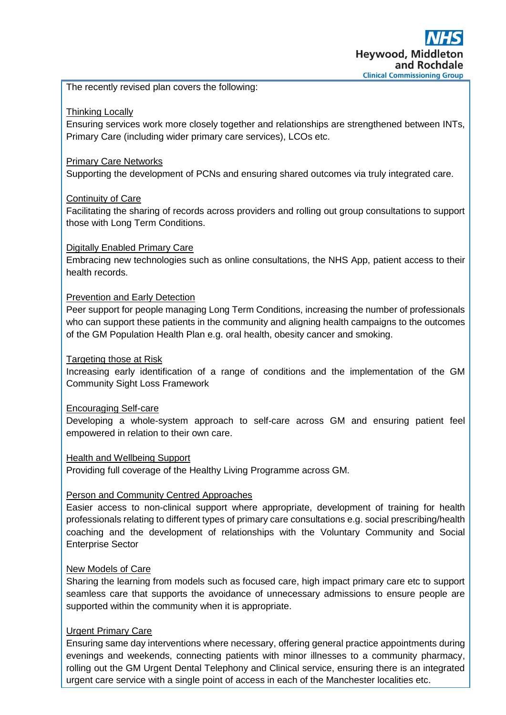The recently revised plan covers the following:

# Thinking Locally

Ensuring services work more closely together and relationships are strengthened between INTs, Primary Care (including wider primary care services), LCOs etc.

# Primary Care Networks

Supporting the development of PCNs and ensuring shared outcomes via truly integrated care.

# Continuity of Care

Facilitating the sharing of records across providers and rolling out group consultations to support those with Long Term Conditions.

# Digitally Enabled Primary Care

Embracing new technologies such as online consultations, the NHS App, patient access to their health records.

# Prevention and Early Detection

Peer support for people managing Long Term Conditions, increasing the number of professionals who can support these patients in the community and aligning health campaigns to the outcomes of the GM Population Health Plan e.g. oral health, obesity cancer and smoking.

# Targeting those at Risk

Increasing early identification of a range of conditions and the implementation of the GM Community Sight Loss Framework

# Encouraging Self-care

Developing a whole-system approach to self-care across GM and ensuring patient feel empowered in relation to their own care.

# Health and Wellbeing Support

Providing full coverage of the Healthy Living Programme across GM.

# Person and Community Centred Approaches

Easier access to non-clinical support where appropriate, development of training for health professionals relating to different types of primary care consultations e.g. social prescribing/health coaching and the development of relationships with the Voluntary Community and Social Enterprise Sector

# New Models of Care

Sharing the learning from models such as focused care, high impact primary care etc to support seamless care that supports the avoidance of unnecessary admissions to ensure people are supported within the community when it is appropriate.

# Urgent Primary Care

Ensuring same day interventions where necessary, offering general practice appointments during evenings and weekends, connecting patients with minor illnesses to a community pharmacy, rolling out the GM Urgent Dental Telephony and Clinical service, ensuring there is an integrated urgent care service with a single point of access in each of the Manchester localities etc.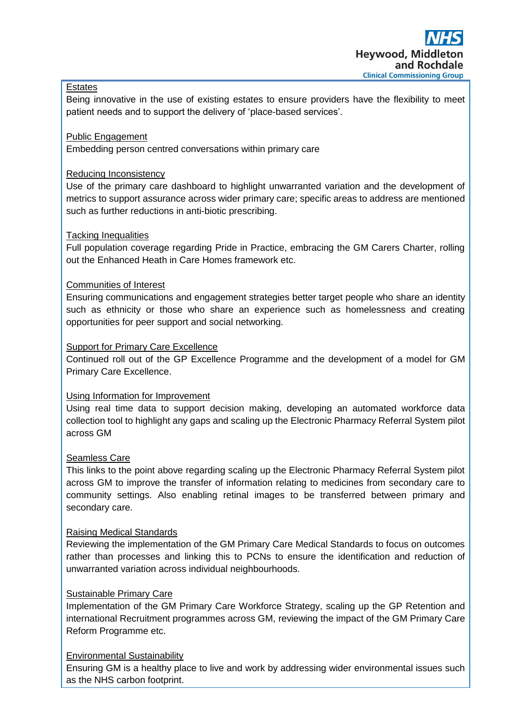# **Estates**

Being innovative in the use of existing estates to ensure providers have the flexibility to meet patient needs and to support the delivery of 'place-based services'.

# Public Engagement

Embedding person centred conversations within primary care

# Reducing Inconsistency

Use of the primary care dashboard to highlight unwarranted variation and the development of metrics to support assurance across wider primary care; specific areas to address are mentioned such as further reductions in anti-biotic prescribing.

# Tacking Inequalities

Full population coverage regarding Pride in Practice, embracing the GM Carers Charter, rolling out the Enhanced Heath in Care Homes framework etc.

# Communities of Interest

Ensuring communications and engagement strategies better target people who share an identity such as ethnicity or those who share an experience such as homelessness and creating opportunities for peer support and social networking.

# Support for Primary Care Excellence

Continued roll out of the GP Excellence Programme and the development of a model for GM Primary Care Excellence.

# Using Information for Improvement

Using real time data to support decision making, developing an automated workforce data collection tool to highlight any gaps and scaling up the Electronic Pharmacy Referral System pilot across GM

# Seamless Care

This links to the point above regarding scaling up the Electronic Pharmacy Referral System pilot across GM to improve the transfer of information relating to medicines from secondary care to community settings. Also enabling retinal images to be transferred between primary and secondary care.

# Raising Medical Standards

Reviewing the implementation of the GM Primary Care Medical Standards to focus on outcomes rather than processes and linking this to PCNs to ensure the identification and reduction of unwarranted variation across individual neighbourhoods.

# Sustainable Primary Care

Implementation of the GM Primary Care Workforce Strategy, scaling up the GP Retention and international Recruitment programmes across GM, reviewing the impact of the GM Primary Care Reform Programme etc.

# Environmental Sustainability

Ensuring GM is a healthy place to live and work by addressing wider environmental issues such as the NHS carbon footprint.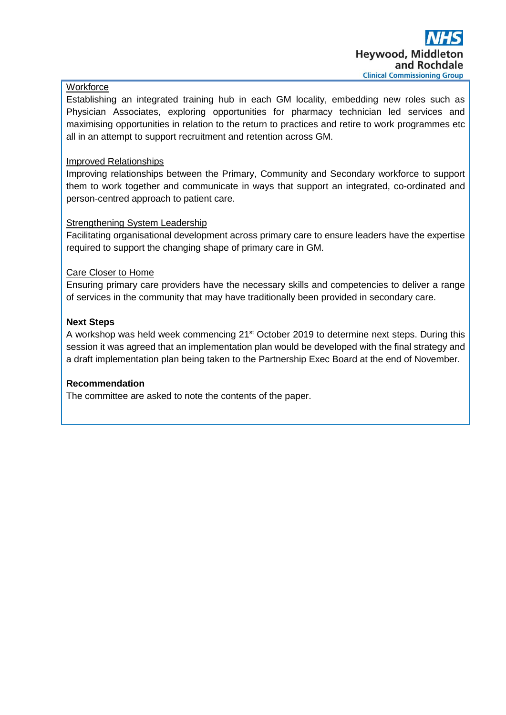# **Workforce**

Establishing an integrated training hub in each GM locality, embedding new roles such as Physician Associates, exploring opportunities for pharmacy technician led services and maximising opportunities in relation to the return to practices and retire to work programmes etc all in an attempt to support recruitment and retention across GM.

# Improved Relationships

Improving relationships between the Primary, Community and Secondary workforce to support them to work together and communicate in ways that support an integrated, co-ordinated and person-centred approach to patient care.

# **Strengthening System Leadership**

Facilitating organisational development across primary care to ensure leaders have the expertise required to support the changing shape of primary care in GM.

# Care Closer to Home

Ensuring primary care providers have the necessary skills and competencies to deliver a range of services in the community that may have traditionally been provided in secondary care.

# **Next Steps**

A workshop was held week commencing 21<sup>st</sup> October 2019 to determine next steps. During this session it was agreed that an implementation plan would be developed with the final strategy and a draft implementation plan being taken to the Partnership Exec Board at the end of November.

# **Recommendation**

The committee are asked to note the contents of the paper.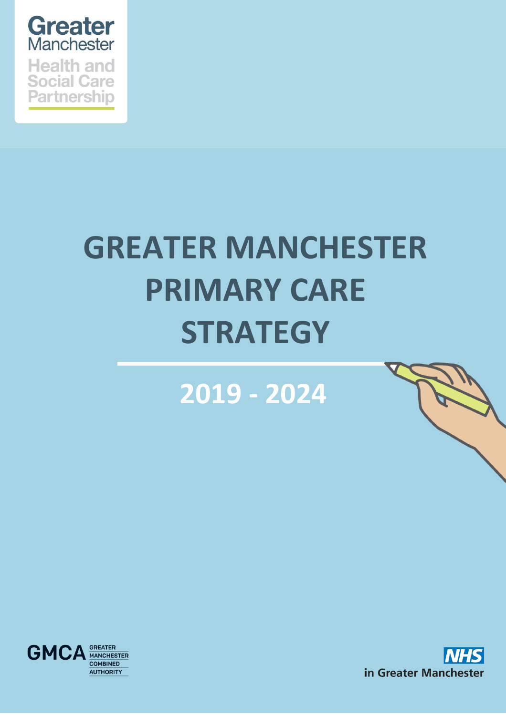

# **GREATER MANCHESTER PRIMARY CARE STRATEGY**

**2019 - 2024**



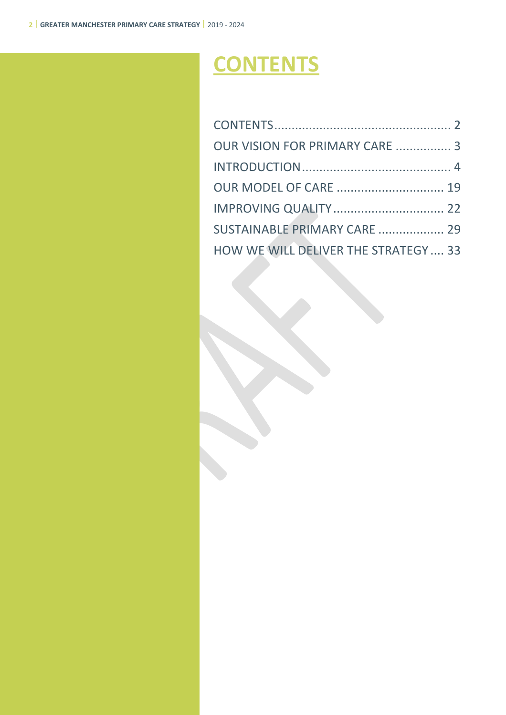# <span id="page-6-0"></span>**CONTENTS**

| OUR VISION FOR PRIMARY CARE  3       |  |
|--------------------------------------|--|
|                                      |  |
| <b>OUR MODEL OF CARE  19</b>         |  |
|                                      |  |
| SUSTAINABLE PRIMARY CARE  29         |  |
| HOW WE WILL DELIVER THE STRATEGY  33 |  |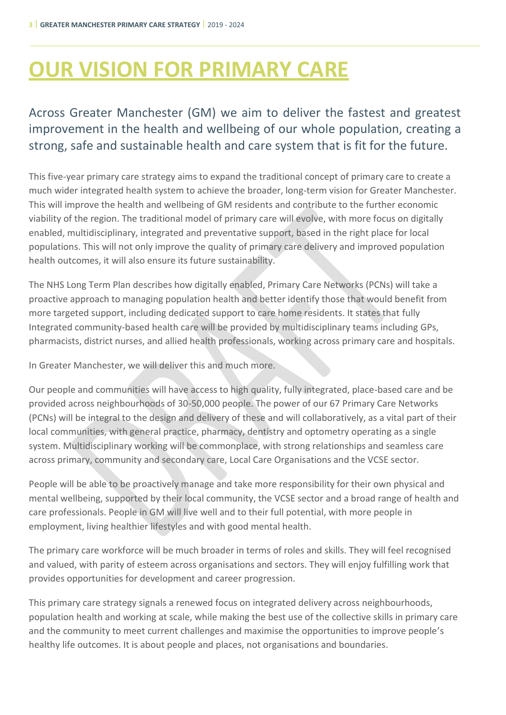# <span id="page-7-0"></span>**OUR VISION FOR PRIMARY CARE**

# Across Greater Manchester (GM) we aim to deliver the fastest and greatest improvement in the health and wellbeing of our whole population, creating a strong, safe and sustainable health and care system that is fit for the future.

This five-year primary care strategy aims to expand the traditional concept of primary care to create a much wider integrated health system to achieve the broader, long-term vision for Greater Manchester. This will improve the health and wellbeing of GM residents and contribute to the further economic viability of the region. The traditional model of primary care will evolve, with more focus on digitally enabled, multidisciplinary, integrated and preventative support, based in the right place for local populations. This will not only improve the quality of primary care delivery and improved population health outcomes, it will also ensure its future sustainability.

The NHS Long Term Plan describes how digitally enabled, Primary Care Networks (PCNs) will take a proactive approach to managing population health and better identify those that would benefit from more targeted support, including dedicated support to care home residents. It states that fully Integrated community-based health care will be provided by multidisciplinary teams including GPs, pharmacists, district nurses, and allied health professionals, working across primary care and hospitals.

In Greater Manchester, we will deliver this and much more.

Our people and communities will have access to high quality, fully integrated, place-based care and be provided across neighbourhoods of 30-50,000 people. The power of our 67 Primary Care Networks (PCNs) will be integral to the design and delivery of these and will collaboratively, as a vital part of their local communities, with general practice, pharmacy, dentistry and optometry operating as a single system. Multidisciplinary working will be commonplace, with strong relationships and seamless care across primary, community and secondary care, Local Care Organisations and the VCSE sector.

People will be able to be proactively manage and take more responsibility for their own physical and mental wellbeing, supported by their local community, the VCSE sector and a broad range of health and care professionals. People in GM will live well and to their full potential, with more people in employment, living healthier lifestyles and with good mental health.

The primary care workforce will be much broader in terms of roles and skills. They will feel recognised and valued, with parity of esteem across organisations and sectors. They will enjoy fulfilling work that provides opportunities for development and career progression.

This primary care strategy signals a renewed focus on integrated delivery across neighbourhoods, population health and working at scale, while making the best use of the collective skills in primary care and the community to meet current challenges and maximise the opportunities to improve people's healthy life outcomes. It is about people and places, not organisations and boundaries.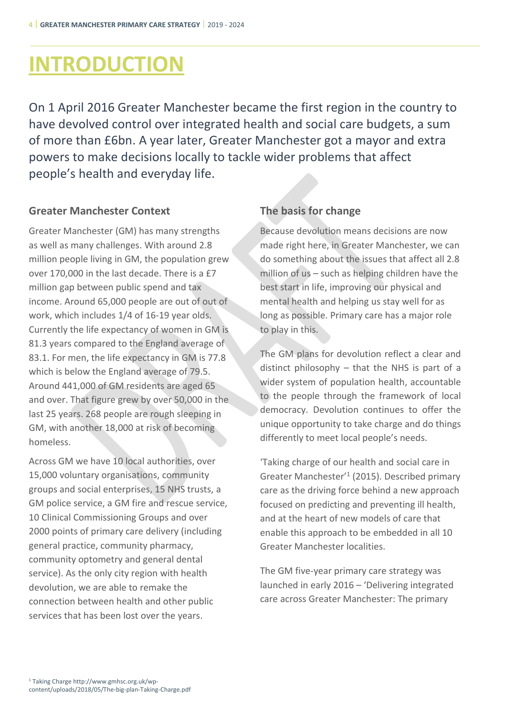# <span id="page-8-0"></span>**INTRODUCTION**

On 1 April 2016 Greater Manchester became the first region in the country to have devolved control over integrated health and social care budgets, a sum of more than £6bn. A year later, Greater Manchester got a mayor and extra powers to make decisions locally to tackle wider problems that affect people's health and everyday life.

# **Greater Manchester Context**

Greater Manchester (GM) has many strengths as well as many challenges. With around 2.8 million people living in GM, the population grew over 170,000 in the last decade. There is a £7 million gap between public spend and tax income. Around 65,000 people are out of out of work, which includes 1/4 of 16-19 year olds. Currently the life expectancy of women in GM is 81.3 years compared to the England average of 83.1. For men, the life expectancy in GM is 77.8 which is below the England average of 79.5. Around 441,000 of GM residents are aged 65 and over. That figure grew by over 50,000 in the last 25 years. 268 people are rough sleeping in GM, with another 18,000 at risk of becoming homeless.

Across GM we have 10 local authorities, over 15,000 voluntary organisations, community groups and social enterprises, 15 NHS trusts, a GM police service, a GM fire and rescue service, 10 Clinical Commissioning Groups and over 2000 points of primary care delivery (including general practice, community pharmacy, community optometry and general dental service). As the only city region with health devolution, we are able to remake the connection between health and other public services that has been lost over the years.

# **The basis for change**

Because devolution means decisions are now made right here, in Greater Manchester, we can do something about the issues that affect all 2.8 million of us – such as helping children have the best start in life, improving our physical and mental health and helping us stay well for as long as possible. Primary care has a major role to play in this.

The GM plans for devolution reflect a clear and distinct philosophy – that the NHS is part of a wider system of population health, accountable to the people through the framework of local democracy. Devolution continues to offer the unique opportunity to take charge and do things differently to meet local people's needs.

'Taking charge of our health and social care in Greater Manchester<sup>'1</sup> (2015). Described primary care as the driving force behind a new approach focused on predicting and preventing ill health, and at the heart of new models of care that enable this approach to be embedded in all 10 Greater Manchester localities.

The GM five-year primary care strategy was launched in early 2016 – 'Delivering integrated care across Greater Manchester: The primary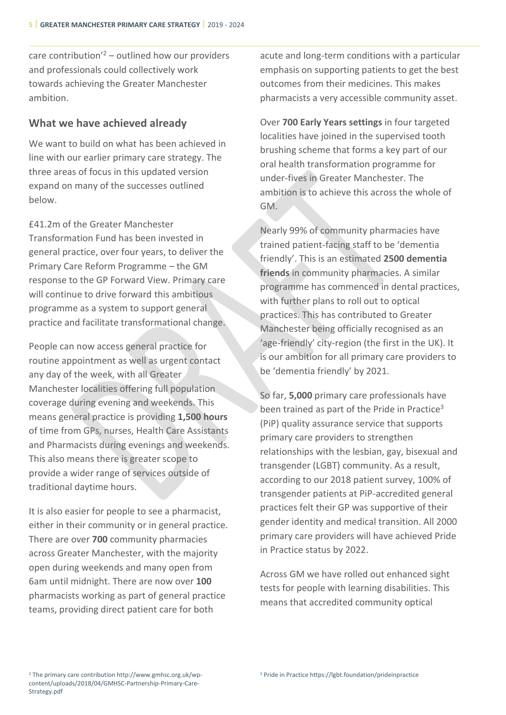care contribution'<sup>2</sup> – outlined how our providers and professionals could collectively work towards achieving the Greater Manchester ambition.

# **What we have achieved already**

We want to build on what has been achieved in line with our earlier primary care strategy. The three areas of focus in this updated version expand on many of the successes outlined below.

£41.2m of the Greater Manchester Transformation Fund has been invested in general practice, over four years, to deliver the Primary Care Reform Programme – the GM response to the GP Forward View. Primary care will continue to drive forward this ambitious programme as a system to support general practice and facilitate transformational change.

People can now access general practice for routine appointment as well as urgent contact any day of the week, with all Greater Manchester localities offering full population coverage during evening and weekends. This means general practice is providing **1,500 hours** of time from GPs, nurses, Health Care Assistants and Pharmacists during evenings and weekends. This also means there is greater scope to provide a wider range of services outside of traditional daytime hours.

It is also easier for people to see a pharmacist, either in their community or in general practice. There are over **700** community pharmacies across Greater Manchester, with the majority open during weekends and many open from 6am until midnight. There are now over **100** pharmacists working as part of general practice teams, providing direct patient care for both

acute and long-term conditions with a particular emphasis on supporting patients to get the best outcomes from their medicines. This makes pharmacists a very accessible community asset.

Over **700 Early Years settings** in four targeted localities have joined in the supervised tooth brushing scheme that forms a key part of our oral health transformation programme for under-fives in Greater Manchester. The ambition is to achieve this across the whole of GM.

Nearly 99% of community pharmacies have trained patient-facing staff to be 'dementia friendly'. This is an estimated **2500 dementia friends** in community pharmacies. A similar programme has commenced in dental practices, with further plans to roll out to optical practices. This has contributed to Greater Manchester being officially recognised as an 'age-friendly' city-region (the first in the UK). It is our ambition for all primary care providers to be 'dementia friendly' by 2021.

So far, **5,000** primary care professionals have been trained as part of the Pride in Practice<sup>3</sup> (PiP) quality assurance service that supports primary care providers to strengthen relationships with the lesbian, gay, bisexual and transgender (LGBT) community. As a result, according to our 2018 patient survey, 100% of transgender patients at PiP-accredited general practices felt their GP was supportive of their gender identity and medical transition. All 2000 primary care providers will have achieved Pride in Practice status by 2022.

Across GM we have rolled out enhanced sight tests for people with learning disabilities. This means that accredited community optical

<sup>2</sup> The primary care contribution http://www.gmhsc.org.uk/wpcontent/uploads/2018/04/GMHSC-Partnership-Primary-Care-Strategy.pdf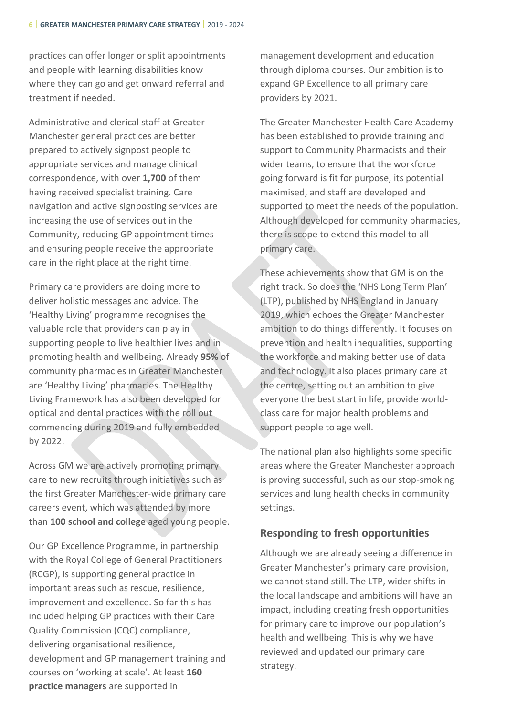practices can offer longer or split appointments and people with learning disabilities know where they can go and get onward referral and treatment if needed.

Administrative and clerical staff at Greater Manchester general practices are better prepared to actively signpost people to appropriate services and manage clinical correspondence, with over **1,700** of them having received specialist training. Care navigation and active signposting services are increasing the use of services out in the Community, reducing GP appointment times and ensuring people receive the appropriate care in the right place at the right time.

Primary care providers are doing more to deliver holistic messages and advice. The 'Healthy Living' programme recognises the valuable role that providers can play in supporting people to live healthier lives and in promoting health and wellbeing. Already **95%** of community pharmacies in Greater Manchester are 'Healthy Living' pharmacies. The Healthy Living Framework has also been developed for optical and dental practices with the roll out commencing during 2019 and fully embedded by 2022.

Across GM we are actively promoting primary care to new recruits through initiatives such as the first Greater Manchester-wide primary care careers event, which was attended by more than **100 school and college** aged young people.

Our GP Excellence Programme, in partnership with the Royal College of General Practitioners (RCGP), is supporting general practice in important areas such as rescue, resilience, improvement and excellence. So far this has included helping GP practices with their Care Quality Commission (CQC) compliance, delivering organisational resilience, development and GP management training and courses on 'working at scale'. At least **160 practice managers** are supported in

management development and education through diploma courses. Our ambition is to expand GP Excellence to all primary care providers by 2021.

The Greater Manchester Health Care Academy has been established to provide training and support to Community Pharmacists and their wider teams, to ensure that the workforce going forward is fit for purpose, its potential maximised, and staff are developed and supported to meet the needs of the population. Although developed for community pharmacies, there is scope to extend this model to all primary care.

These achievements show that GM is on the right track. So does the 'NHS Long Term Plan' (LTP), published by NHS England in January 2019, which echoes the Greater Manchester ambition to do things differently. It focuses on prevention and health inequalities, supporting the workforce and making better use of data and technology. It also places primary care at the centre, setting out an ambition to give everyone the best start in life, provide worldclass care for major health problems and support people to age well.

The national plan also highlights some specific areas where the Greater Manchester approach is proving successful, such as our stop-smoking services and lung health checks in community settings.

# **Responding to fresh opportunities**

Although we are already seeing a difference in Greater Manchester's primary care provision, we cannot stand still. The LTP, wider shifts in the local landscape and ambitions will have an impact, including creating fresh opportunities for primary care to improve our population's health and wellbeing. This is why we have reviewed and updated our primary care strategy.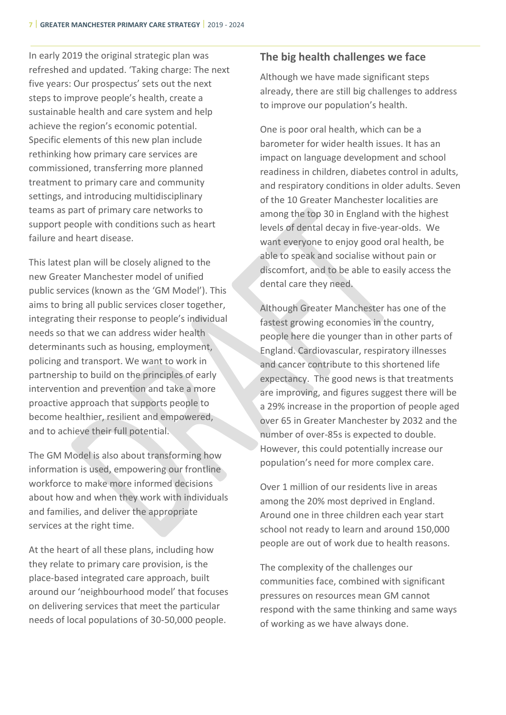In early 2019 the original strategic plan was refreshed and updated. 'Taking charge: The next five years: Our prospectus' sets out the next steps to improve people's health, create a sustainable health and care system and help achieve the region's economic potential. Specific elements of this new plan include rethinking how primary care services are commissioned, transferring more planned treatment to primary care and community settings, and introducing multidisciplinary teams as part of primary care networks to support people with conditions such as heart failure and heart disease.

This latest plan will be closely aligned to the new Greater Manchester model of unified public services (known as the 'GM Model'). This aims to bring all public services closer together, integrating their response to people's individual needs so that we can address wider health determinants such as housing, employment, policing and transport. We want to work in partnership to build on the principles of early intervention and prevention and take a more proactive approach that supports people to become healthier, resilient and empowered, and to achieve their full potential.

The GM Model is also about transforming how information is used, empowering our frontline workforce to make more informed decisions about how and when they work with individuals and families, and deliver the appropriate services at the right time.

At the heart of all these plans, including how they relate to primary care provision, is the place-based integrated care approach, built around our 'neighbourhood model' that focuses on delivering services that meet the particular needs of local populations of 30-50,000 people.

# **The big health challenges we face**

Although we have made significant steps already, there are still big challenges to address to improve our population's health.

One is poor oral health, which can be a barometer for wider health issues. It has an impact on language development and school readiness in children, diabetes control in adults, and respiratory conditions in older adults. Seven of the 10 Greater Manchester localities are among the top 30 in England with the highest levels of dental decay in five-year-olds. We want everyone to enjoy good oral health, be able to speak and socialise without pain or discomfort, and to be able to easily access the dental care they need.

Although Greater Manchester has one of the fastest growing economies in the country, people here die younger than in other parts of England. Cardiovascular, respiratory illnesses and cancer contribute to this shortened life expectancy. The good news is that treatments are improving, and figures suggest there will be a 29% increase in the proportion of people aged over 65 in Greater Manchester by 2032 and the number of over-85s is expected to double. However, this could potentially increase our population's need for more complex care.

Over 1 million of our residents live in areas among the 20% most deprived in England. Around one in three children each year start school not ready to learn and around 150,000 people are out of work due to health reasons.

The complexity of the challenges our communities face, combined with significant pressures on resources mean GM cannot respond with the same thinking and same ways of working as we have always done.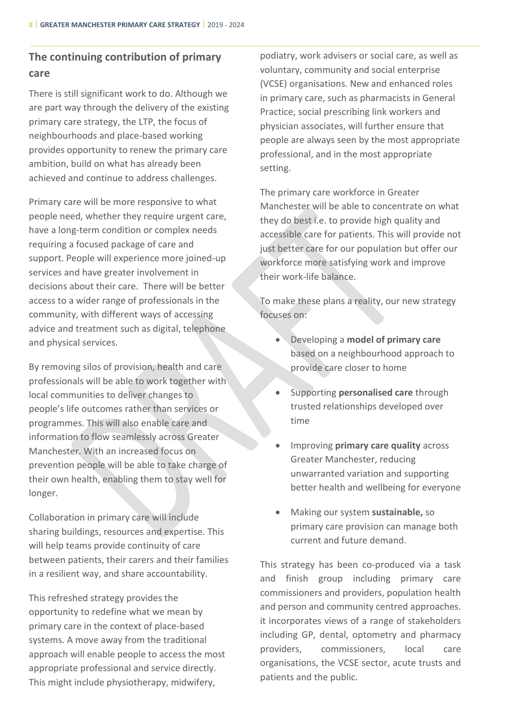# **The continuing contribution of primary care**

There is still significant work to do. Although we are part way through the delivery of the existing primary care strategy, the LTP, the focus of neighbourhoods and place-based working provides opportunity to renew the primary care ambition, build on what has already been achieved and continue to address challenges.

Primary care will be more responsive to what people need, whether they require urgent care, have a long-term condition or complex needs requiring a focused package of care and support. People will experience more joined-up services and have greater involvement in decisions about their care. There will be better access to a wider range of professionals in the community, with different ways of accessing advice and treatment such as digital, telephone and physical services.

By removing silos of provision, health and care professionals will be able to work together with local communities to deliver changes to people's life outcomes rather than services or programmes. This will also enable care and information to flow seamlessly across Greater Manchester. With an increased focus on prevention people will be able to take charge of their own health, enabling them to stay well for longer.

Collaboration in primary care will include sharing buildings, resources and expertise. This will help teams provide continuity of care between patients, their carers and their families in a resilient way, and share accountability.

This refreshed strategy provides the opportunity to redefine what we mean by primary care in the context of place-based systems. A move away from the traditional approach will enable people to access the most appropriate professional and service directly. This might include physiotherapy, midwifery,

podiatry, work advisers or social care, as well as voluntary, community and social enterprise (VCSE) organisations. New and enhanced roles in primary care, such as pharmacists in General Practice, social prescribing link workers and physician associates, will further ensure that people are always seen by the most appropriate professional, and in the most appropriate setting.

The primary care workforce in Greater Manchester will be able to concentrate on what they do best i.e. to provide high quality and accessible care for patients. This will provide not just better care for our population but offer our workforce more satisfying work and improve their work-life balance.

To make these plans a reality, our new strategy focuses on:

- Developing a **model of primary care** based on a neighbourhood approach to provide care closer to home
- Supporting **personalised care** through trusted relationships developed over time
- Improving **primary care quality** across Greater Manchester, reducing unwarranted variation and supporting better health and wellbeing for everyone
- Making our system **sustainable,** so primary care provision can manage both current and future demand.

This strategy has been co-produced via a task and finish group including primary care commissioners and providers, population health and person and community centred approaches. it incorporates views of a range of stakeholders including GP, dental, optometry and pharmacy providers, commissioners, local care organisations, the VCSE sector, acute trusts and patients and the public.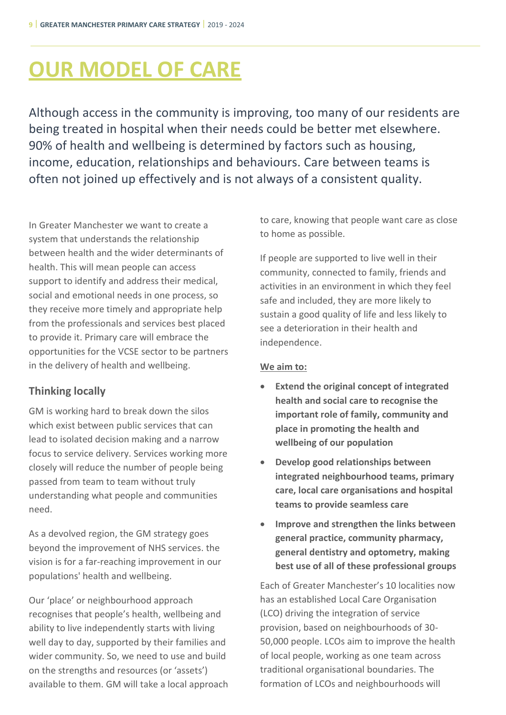# <span id="page-13-0"></span>**OUR MODEL OF CARE**

Although access in the community is improving, too many of our residents are being treated in hospital when their needs could be better met elsewhere. 90% of health and wellbeing is determined by factors such as housing, income, education, relationships and behaviours. Care between teams is often not joined up effectively and is not always of a consistent quality.

In Greater Manchester we want to create a system that understands the relationship between health and the wider determinants of health. This will mean people can access support to identify and address their medical, social and emotional needs in one process, so they receive more timely and appropriate help from the professionals and services best placed to provide it. Primary care will embrace the opportunities for the VCSE sector to be partners in the delivery of health and wellbeing.

# **Thinking locally**

GM is working hard to break down the silos which exist between public services that can lead to isolated decision making and a narrow focus to service delivery. Services working more closely will reduce the number of people being passed from team to team without truly understanding what people and communities need.

As a devolved region, the GM strategy goes beyond the improvement of NHS services. the vision is for a far-reaching improvement in our populations' health and wellbeing.

Our 'place' or neighbourhood approach recognises that people's health, wellbeing and ability to live independently starts with living well day to day, supported by their families and wider community. So, we need to use and build on the strengths and resources (or 'assets') available to them. GM will take a local approach to care, knowing that people want care as close to home as possible.

If people are supported to live well in their community, connected to family, friends and activities in an environment in which they feel safe and included, they are more likely to sustain a good quality of life and less likely to see a deterioration in their health and independence.

# **We aim to:**

- **Extend the original concept of integrated health and social care to recognise the important role of family, community and place in promoting the health and wellbeing of our population**
- **Develop good relationships between integrated neighbourhood teams, primary care, local care organisations and hospital teams to provide seamless care**
- **Improve and strengthen the links between general practice, community pharmacy, general dentistry and optometry, making best use of all of these professional groups**

Each of Greater Manchester's 10 localities now has an established Local Care Organisation (LCO) driving the integration of service provision, based on neighbourhoods of 30- 50,000 people. LCOs aim to improve the health of local people, working as one team across traditional organisational boundaries. The formation of LCOs and neighbourhoods will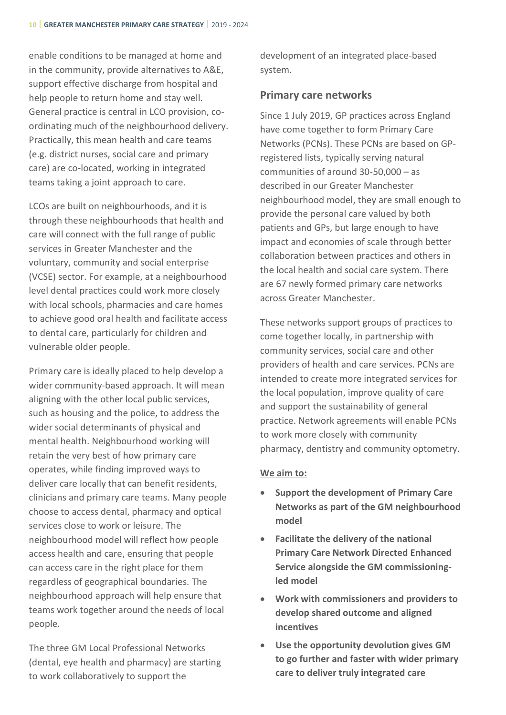enable conditions to be managed at home and in the community, provide alternatives to A&E, support effective discharge from hospital and help people to return home and stay well. General practice is central in LCO provision, coordinating much of the neighbourhood delivery. Practically, this mean health and care teams (e.g. district nurses, social care and primary care) are co-located, working in integrated teams taking a joint approach to care.

LCOs are built on neighbourhoods, and it is through these neighbourhoods that health and care will connect with the full range of public services in Greater Manchester and the voluntary, community and social enterprise (VCSE) sector. For example, at a neighbourhood level dental practices could work more closely with local schools, pharmacies and care homes to achieve good oral health and facilitate access to dental care, particularly for children and vulnerable older people.

Primary care is ideally placed to help develop a wider community-based approach. It will mean aligning with the other local public services, such as housing and the police, to address the wider social determinants of physical and mental health. Neighbourhood working will retain the very best of how primary care operates, while finding improved ways to deliver care locally that can benefit residents, clinicians and primary care teams. Many people choose to access dental, pharmacy and optical services close to work or leisure. The neighbourhood model will reflect how people access health and care, ensuring that people can access care in the right place for them regardless of geographical boundaries. The neighbourhood approach will help ensure that teams work together around the needs of local people.

The three GM Local Professional Networks (dental, eye health and pharmacy) are starting to work collaboratively to support the

development of an integrated place-based system.

# **Primary care networks**

Since 1 July 2019, GP practices across England have come together to form Primary Care Networks (PCNs). These PCNs are based on GPregistered lists, typically serving natural communities of around 30-50,000 – as described in our Greater Manchester neighbourhood model, they are small enough to provide the personal care valued by both patients and GPs, but large enough to have impact and economies of scale through better collaboration between practices and others in the local health and social care system. There are 67 newly formed primary care networks across Greater Manchester.

These networks support groups of practices to come together locally, in partnership with community services, social care and other providers of health and care services. PCNs are intended to create more integrated services for the local population, improve quality of care and support the sustainability of general practice. Network agreements will enable PCNs to work more closely with community pharmacy, dentistry and community optometry.

# **We aim to:**

- **Support the development of Primary Care Networks as part of the GM neighbourhood model**
- **Facilitate the delivery of the national Primary Care Network Directed Enhanced Service alongside the GM commissioningled model**
- **Work with commissioners and providers to develop shared outcome and aligned incentives**
- **Use the opportunity devolution gives GM to go further and faster with wider primary care to deliver truly integrated care**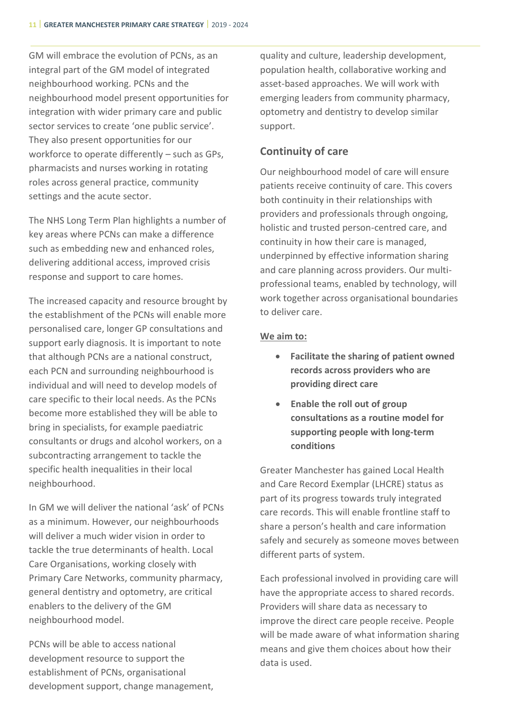GM will embrace the evolution of PCNs, as an integral part of the GM model of integrated neighbourhood working. PCNs and the neighbourhood model present opportunities for integration with wider primary care and public sector services to create 'one public service'. They also present opportunities for our workforce to operate differently – such as GPs, pharmacists and nurses working in rotating roles across general practice, community settings and the acute sector.

The NHS Long Term Plan highlights a number of key areas where PCNs can make a difference such as embedding new and enhanced roles, delivering additional access, improved crisis response and support to care homes.

The increased capacity and resource brought by the establishment of the PCNs will enable more personalised care, longer GP consultations and support early diagnosis. It is important to note that although PCNs are a national construct, each PCN and surrounding neighbourhood is individual and will need to develop models of care specific to their local needs. As the PCNs become more established they will be able to bring in specialists, for example paediatric consultants or drugs and alcohol workers, on a subcontracting arrangement to tackle the specific health inequalities in their local neighbourhood.

In GM we will deliver the national 'ask' of PCNs as a minimum. However, our neighbourhoods will deliver a much wider vision in order to tackle the true determinants of health. Local Care Organisations, working closely with Primary Care Networks, community pharmacy, general dentistry and optometry, are critical enablers to the delivery of the GM neighbourhood model.

PCNs will be able to access national development resource to support the establishment of PCNs, organisational development support, change management, quality and culture, leadership development, population health, collaborative working and asset-based approaches. We will work with emerging leaders from community pharmacy, optometry and dentistry to develop similar support.

# **Continuity of care**

Our neighbourhood model of care will ensure patients receive continuity of care. This covers both continuity in their relationships with providers and professionals through ongoing, holistic and trusted person-centred care, and continuity in how their care is managed, underpinned by effective information sharing and care planning across providers. Our multiprofessional teams, enabled by technology, will work together across organisational boundaries to deliver care.

#### **We aim to:**

- **Facilitate the sharing of patient owned records across providers who are providing direct care**
- **Enable the roll out of group consultations as a routine model for supporting people with long-term conditions**

Greater Manchester has gained Local Health and Care Record Exemplar (LHCRE) status as part of its progress towards truly integrated care records. This will enable frontline staff to share a person's health and care information safely and securely as someone moves between different parts of system.

Each professional involved in providing care will have the appropriate access to shared records. Providers will share data as necessary to improve the direct care people receive. People will be made aware of what information sharing means and give them choices about how their data is used.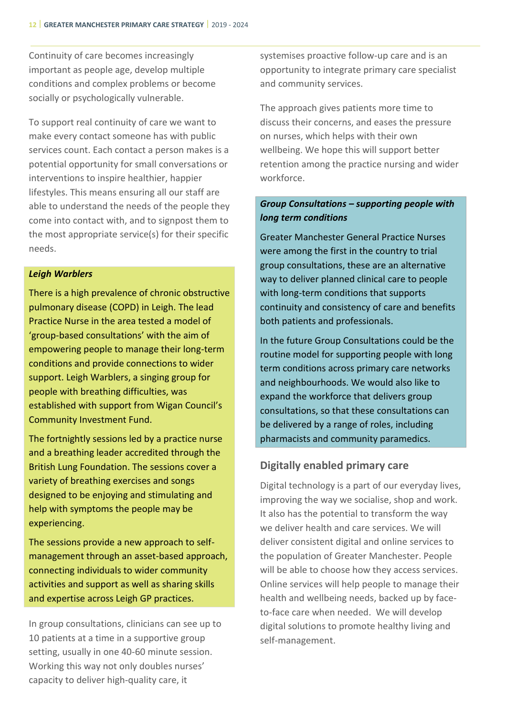Continuity of care becomes increasingly important as people age, develop multiple conditions and complex problems or become socially or psychologically vulnerable.

To support real continuity of care we want to make every contact someone has with public services count. Each contact a person makes is a potential opportunity for small conversations or interventions to inspire healthier, happier lifestyles. This means ensuring all our staff are able to understand the needs of the people they come into contact with, and to signpost them to the most appropriate service(s) for their specific needs.

#### *Leigh Warblers*

There is a high prevalence of chronic obstructive pulmonary disease (COPD) in Leigh. The lead Practice Nurse in the area tested a model of 'group-based consultations' with the aim of empowering people to manage their long-term conditions and provide connections to wider support. Leigh Warblers, a singing group for people with breathing difficulties, was established with support from Wigan Council's Community Investment Fund.

The fortnightly sessions led by a practice nurse and a breathing leader accredited through the British Lung Foundation. The sessions cover a variety of breathing exercises and songs designed to be enjoying and stimulating and help with symptoms the people may be experiencing.

The sessions provide a new approach to selfmanagement through an asset-based approach, connecting individuals to wider community activities and support as well as sharing skills and expertise across Leigh GP practices.

In group consultations, clinicians can see up to 10 patients at a time in a supportive group setting, usually in one 40-60 minute session. Working this way not only doubles nurses' capacity to deliver high-quality care, it

systemises proactive follow-up care and is an opportunity to integrate primary care specialist and community services.

The approach gives patients more time to discuss their concerns, and eases the pressure on nurses, which helps with their own wellbeing. We hope this will support better retention among the practice nursing and wider workforce.

# *Group Consultations – supporting people with long term conditions*

Greater Manchester General Practice Nurses were among the first in the country to trial group consultations, these are an alternative way to deliver planned clinical care to people with long-term conditions that supports continuity and consistency of care and benefits both patients and professionals.

In the future Group Consultations could be the routine model for supporting people with long term conditions across primary care networks and neighbourhoods. We would also like to expand the workforce that delivers group consultations, so that these consultations can be delivered by a range of roles, including pharmacists and community paramedics.

# **Digitally enabled primary care**

Digital technology is a part of our everyday lives, improving the way we socialise, shop and work. It also has the potential to transform the way we deliver health and care services. We will deliver consistent digital and online services to the population of Greater Manchester. People will be able to choose how they access services. Online services will help people to manage their health and wellbeing needs, backed up by faceto-face care when needed. We will develop digital solutions to promote healthy living and self-management.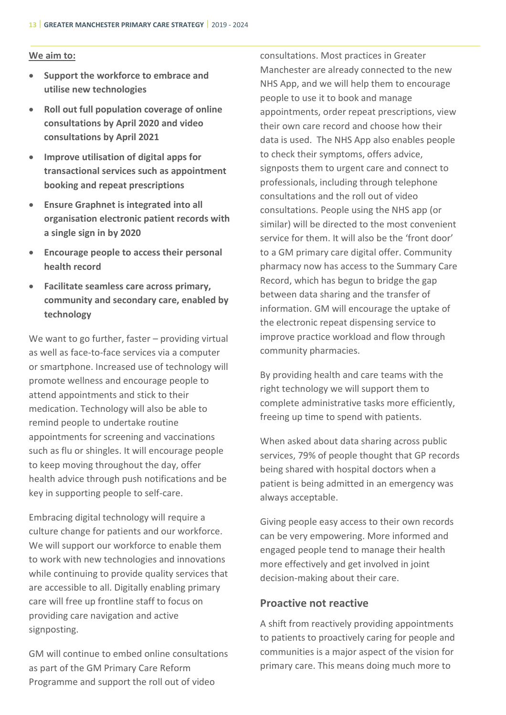#### **We aim to:**

- **Support the workforce to embrace and utilise new technologies**
- **Roll out full population coverage of online consultations by April 2020 and video consultations by April 2021**
- **Improve utilisation of digital apps for transactional services such as appointment booking and repeat prescriptions**
- **Ensure Graphnet is integrated into all organisation electronic patient records with a single sign in by 2020**
- **Encourage people to access their personal health record**
- **Facilitate seamless care across primary, community and secondary care, enabled by technology**

We want to go further, faster - providing virtual as well as face-to-face services via a computer or smartphone. Increased use of technology will promote wellness and encourage people to attend appointments and stick to their medication. Technology will also be able to remind people to undertake routine appointments for screening and vaccinations such as flu or shingles. It will encourage people to keep moving throughout the day, offer health advice through push notifications and be key in supporting people to self-care.

Embracing digital technology will require a culture change for patients and our workforce. We will support our workforce to enable them to work with new technologies and innovations while continuing to provide quality services that are accessible to all. Digitally enabling primary care will free up frontline staff to focus on providing care navigation and active signposting.

GM will continue to embed online consultations as part of the GM Primary Care Reform Programme and support the roll out of video

consultations. Most practices in Greater Manchester are already connected to the new NHS App, and we will help them to encourage people to use it to book and manage appointments, order repeat prescriptions, view their own care record and choose how their data is used. The NHS App also enables people to check their symptoms, offers advice, signposts them to urgent care and connect to professionals, including through telephone consultations and the roll out of video consultations. People using the NHS app (or similar) will be directed to the most convenient service for them. It will also be the 'front door' to a GM primary care digital offer. Community pharmacy now has access to the Summary Care Record, which has begun to bridge the gap between data sharing and the transfer of information. GM will encourage the uptake of the electronic repeat dispensing service to improve practice workload and flow through community pharmacies.

By providing health and care teams with the right technology we will support them to complete administrative tasks more efficiently, freeing up time to spend with patients.

When asked about data sharing across public services, 79% of people thought that GP records being shared with hospital doctors when a patient is being admitted in an emergency was always acceptable.

Giving people easy access to their own records can be very empowering. More informed and engaged people tend to manage their health more effectively and get involved in joint decision-making about their care.

# **Proactive not reactive**

A shift from reactively providing appointments to patients to proactively caring for people and communities is a major aspect of the vision for primary care. This means doing much more to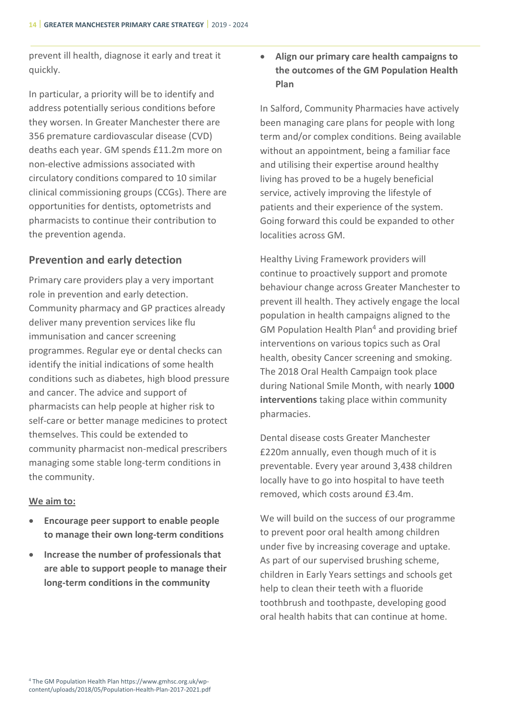prevent ill health, diagnose it early and treat it quickly.

In particular, a priority will be to identify and address potentially serious conditions before they worsen. In Greater Manchester there are 356 premature cardiovascular disease (CVD) deaths each year. GM spends £11.2m more on non-elective admissions associated with circulatory conditions compared to 10 similar clinical commissioning groups (CCGs). There are opportunities for dentists, optometrists and pharmacists to continue their contribution to the prevention agenda.

# **Prevention and early detection**

Primary care providers play a very important role in prevention and early detection. Community pharmacy and GP practices already deliver many prevention services like flu immunisation and cancer screening programmes. Regular eye or dental checks can identify the initial indications of some health conditions such as diabetes, high blood pressure and cancer. The advice and support of pharmacists can help people at higher risk to self-care or better manage medicines to protect themselves. This could be extended to community pharmacist non-medical prescribers managing some stable long-term conditions in the community.

# **We aim to:**

- **Encourage peer support to enable people to manage their own long-term conditions**
- **Increase the number of professionals that are able to support people to manage their long-term conditions in the community**

# • **Align our primary care health campaigns to the outcomes of the GM Population Health Plan**

In Salford, Community Pharmacies have actively been managing care plans for people with long term and/or complex conditions. Being available without an appointment, being a familiar face and utilising their expertise around healthy living has proved to be a hugely beneficial service, actively improving the lifestyle of patients and their experience of the system. Going forward this could be expanded to other localities across GM.

Healthy Living Framework providers will continue to proactively support and promote behaviour change across Greater Manchester to prevent ill health. They actively engage the local population in health campaigns aligned to the GM Population Health Plan<sup>4</sup> and providing brief interventions on various topics such as Oral health, obesity Cancer screening and smoking. The 2018 Oral Health Campaign took place during National Smile Month, with nearly **1000 interventions** taking place within community pharmacies.

Dental disease costs Greater Manchester £220m annually, even though much of it is preventable. Every year around 3,438 children locally have to go into hospital to have teeth removed, which costs around £3.4m.

We will build on the success of our programme to prevent poor oral health among children under five by increasing coverage and uptake. As part of our supervised brushing scheme, children in Early Years settings and schools get help to clean their teeth with a fluoride toothbrush and toothpaste, developing good oral health habits that can continue at home.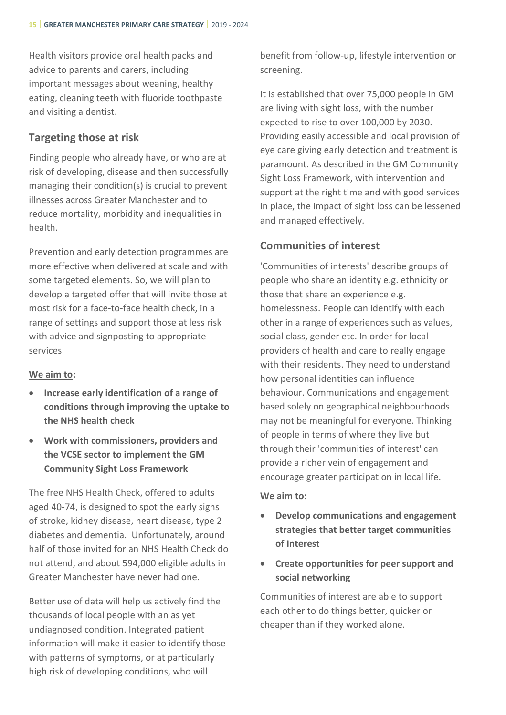Health visitors provide oral health packs and advice to parents and carers, including important messages about weaning, healthy eating, cleaning teeth with fluoride toothpaste and visiting a dentist.

# **Targeting those at risk**

Finding people who already have, or who are at risk of developing, disease and then successfully managing their condition(s) is crucial to prevent illnesses across Greater Manchester and to reduce mortality, morbidity and inequalities in health.

Prevention and early detection programmes are more effective when delivered at scale and with some targeted elements. So, we will plan to develop a targeted offer that will invite those at most risk for a face-to-face health check, in a range of settings and support those at less risk with advice and signposting to appropriate services

# **We aim to:**

- **Increase early identification of a range of conditions through improving the uptake to the NHS health check**
- **Work with commissioners, providers and the VCSE sector to implement the GM Community Sight Loss Framework**

The free NHS Health Check, offered to adults aged 40-74, is designed to spot the early signs of stroke, kidney disease, heart disease, type 2 diabetes and dementia. Unfortunately, around half of those invited for an NHS Health Check do not attend, and about 594,000 eligible adults in Greater Manchester have never had one.

Better use of data will help us actively find the thousands of local people with an as yet undiagnosed condition. Integrated patient information will make it easier to identify those with patterns of symptoms, or at particularly high risk of developing conditions, who will

benefit from follow-up, lifestyle intervention or screening.

It is established that over 75,000 people in GM are living with sight loss, with the number expected to rise to over 100,000 by 2030. Providing easily accessible and local provision of eye care giving early detection and treatment is paramount. As described in the GM Community Sight Loss Framework, with intervention and support at the right time and with good services in place, the impact of sight loss can be lessened and managed effectively.

# **Communities of interest**

'Communities of interests' describe groups of people who share an identity e.g. ethnicity or those that share an experience e.g. homelessness. People can identify with each other in a range of experiences such as values, social class, gender etc. In order for local providers of health and care to really engage with their residents. They need to understand how personal identities can influence behaviour. Communications and engagement based solely on geographical neighbourhoods may not be meaningful for everyone. Thinking of people in terms of where they live but through their 'communities of interest' can provide a richer vein of engagement and encourage greater participation in local life.

#### **We aim to:**

- **Develop communications and engagement strategies that better target communities of Interest**
- **Create opportunities for peer support and social networking**

Communities of interest are able to support each other to do things better, quicker or cheaper than if they worked alone.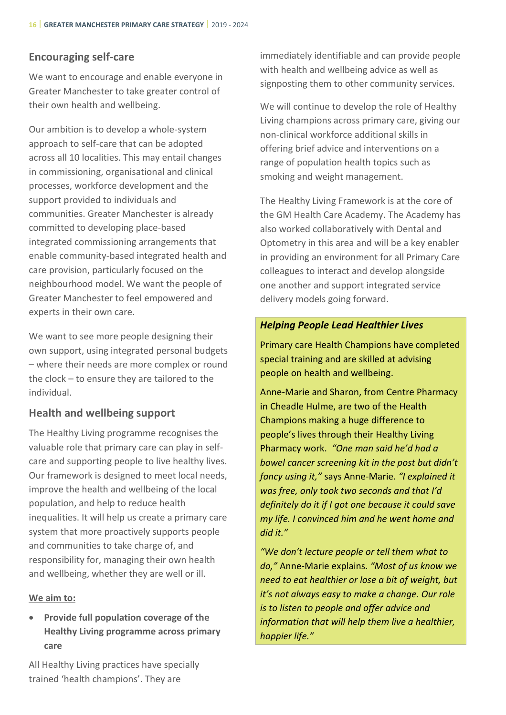# **Encouraging self-care**

We want to encourage and enable everyone in Greater Manchester to take greater control of their own health and wellbeing.

Our ambition is to develop a whole-system approach to self-care that can be adopted across all 10 localities. This may entail changes in commissioning, organisational and clinical processes, workforce development and the support provided to individuals and communities. Greater Manchester is already committed to developing place-based integrated commissioning arrangements that enable community-based integrated health and care provision, particularly focused on the neighbourhood model. We want the people of Greater Manchester to feel empowered and experts in their own care.

We want to see more people designing their own support, using integrated personal budgets – where their needs are more complex or round the clock – to ensure they are tailored to the individual.

# **Health and wellbeing support**

The Healthy Living programme recognises the valuable role that primary care can play in selfcare and supporting people to live healthy lives. Our framework is designed to meet local needs, improve the health and wellbeing of the local population, and help to reduce health inequalities. It will help us create a primary care system that more proactively supports people and communities to take charge of, and responsibility for, managing their own health and wellbeing, whether they are well or ill.

# **We aim to:**

• **Provide full population coverage of the Healthy Living programme across primary care**

All Healthy Living practices have specially trained 'health champions'. They are

immediately identifiable and can provide people with health and wellbeing advice as well as signposting them to other community services.

We will continue to develop the role of Healthy Living champions across primary care, giving our non-clinical workforce additional skills in offering brief advice and interventions on a range of population health topics such as smoking and weight management.

The Healthy Living Framework is at the core of the GM Health Care Academy. The Academy has also worked collaboratively with Dental and Optometry in this area and will be a key enabler in providing an environment for all Primary Care colleagues to interact and develop alongside one another and support integrated service delivery models going forward.

# *Helping People Lead Healthier Lives*

Primary care Health Champions have completed special training and are skilled at advising people on health and wellbeing.

Anne-Marie and Sharon, from Centre Pharmacy in Cheadle Hulme, are two of the Health Champions making a huge difference to people's lives through their Healthy Living Pharmacy work. *"One man said he'd had a bowel cancer screening kit in the post but didn't fancy using it,"* says Anne-Marie. *"I explained it was free, only took two seconds and that I'd definitely do it if I got one because it could save my life. I convinced him and he went home and did it."*

*"We don't lecture people or tell them what to do,"* Anne-Marie explains. *"Most of us know we need to eat healthier or lose a bit of weight, but it's not always easy to make a change. Our role is to listen to people and offer advice and information that will help them live a healthier, happier life."*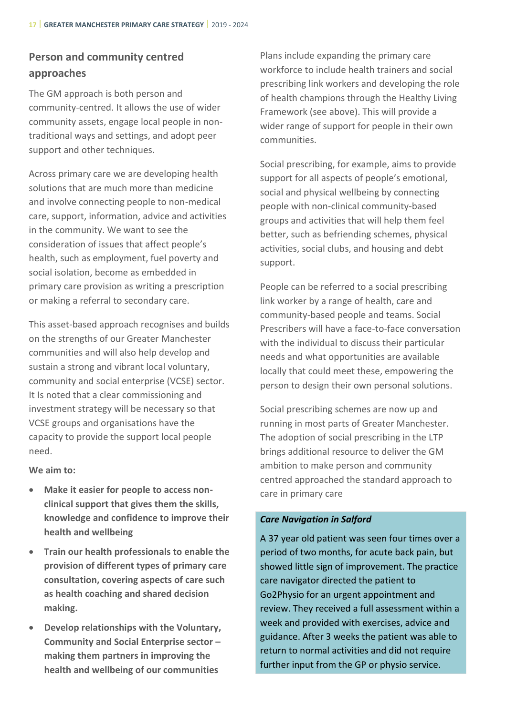# **Person and community centred approaches**

The GM approach is both person and community-centred. It allows the use of wider community assets, engage local people in nontraditional ways and settings, and adopt peer support and other techniques.

Across primary care we are developing health solutions that are much more than medicine and involve connecting people to non-medical care, support, information, advice and activities in the community. We want to see the consideration of issues that affect people's health, such as employment, fuel poverty and social isolation, become as embedded in primary care provision as writing a prescription or making a referral to secondary care.

This asset-based approach recognises and builds on the strengths of our Greater Manchester communities and will also help develop and sustain a strong and vibrant local voluntary, community and social enterprise (VCSE) sector. It Is noted that a clear commissioning and investment strategy will be necessary so that VCSE groups and organisations have the capacity to provide the support local people need.

#### **We aim to:**

- **Make it easier for people to access nonclinical support that gives them the skills, knowledge and confidence to improve their health and wellbeing**
- **Train our health professionals to enable the provision of different types of primary care consultation, covering aspects of care such as health coaching and shared decision making.**
- **Develop relationships with the Voluntary, Community and Social Enterprise sector – making them partners in improving the health and wellbeing of our communities**

Plans include expanding the primary care workforce to include health trainers and social prescribing link workers and developing the role of health champions through the Healthy Living Framework (see above). This will provide a wider range of support for people in their own communities.

Social prescribing, for example, aims to provide support for all aspects of people's emotional, social and physical wellbeing by connecting people with non-clinical community-based groups and activities that will help them feel better, such as befriending schemes, physical activities, social clubs, and housing and debt support.

People can be referred to a social prescribing link worker by a range of health, care and community-based people and teams. Social Prescribers will have a face-to-face conversation with the individual to discuss their particular needs and what opportunities are available locally that could meet these, empowering the person to design their own personal solutions.

Social prescribing schemes are now up and running in most parts of Greater Manchester. The adoption of social prescribing in the LTP brings additional resource to deliver the GM ambition to make person and community centred approached the standard approach to care in primary care

#### *Care Navigation in Salford*

A 37 year old patient was seen four times over a period of two months, for acute back pain, but showed little sign of improvement. The practice care navigator directed the patient to Go2Physio for an urgent appointment and review. They received a full assessment within a week and provided with exercises, advice and guidance. After 3 weeks the patient was able to return to normal activities and did not require further input from the GP or physio service.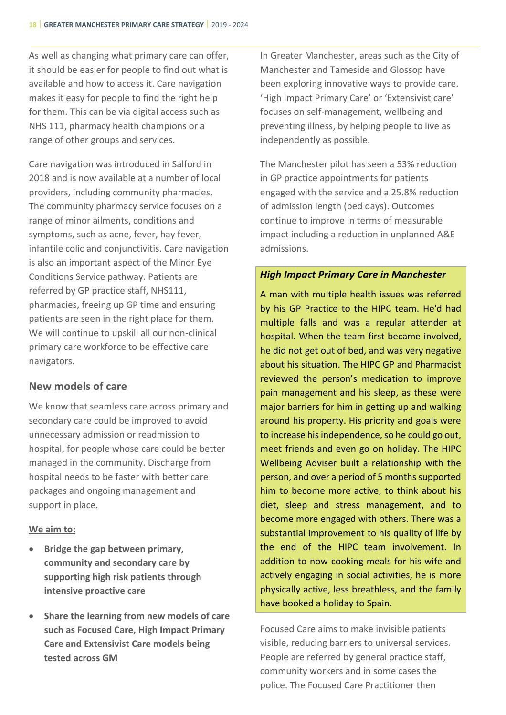As well as changing what primary care can offer, it should be easier for people to find out what is available and how to access it. Care navigation makes it easy for people to find the right help for them. This can be via digital access such as NHS 111, pharmacy health champions or a range of other groups and services.

Care navigation was introduced in Salford in 2018 and is now available at a number of local providers, including community pharmacies. The community pharmacy service focuses on a range of minor ailments, conditions and symptoms, such as acne, fever, hay fever, infantile colic and conjunctivitis. Care navigation is also an important aspect of the Minor Eye Conditions Service pathway. Patients are referred by GP practice staff, NHS111, pharmacies, freeing up GP time and ensuring patients are seen in the right place for them. We will continue to upskill all our non-clinical primary care workforce to be effective care navigators.

# **New models of care**

We know that seamless care across primary and secondary care could be improved to avoid unnecessary admission or readmission to hospital, for people whose care could be better managed in the community. Discharge from hospital needs to be faster with better care packages and ongoing management and support in place.

#### **We aim to:**

- **Bridge the gap between primary, community and secondary care by supporting high risk patients through intensive proactive care**
- **Share the learning from new models of care such as Focused Care, High Impact Primary Care and Extensivist Care models being tested across GM**

In Greater Manchester, areas such as the City of Manchester and Tameside and Glossop have been exploring innovative ways to provide care. 'High Impact Primary Care' or 'Extensivist care' focuses on self-management, wellbeing and preventing illness, by helping people to live as independently as possible.

The Manchester pilot has seen a 53% reduction in GP practice appointments for patients engaged with the service and a 25.8% reduction of admission length (bed days). Outcomes continue to improve in terms of measurable impact including a reduction in unplanned A&E admissions.

#### *High Impact Primary Care in Manchester*

A man with multiple health issues was referred by his GP Practice to the HIPC team. He'd had multiple falls and was a regular attender at hospital. When the team first became involved, he did not get out of bed, and was very negative about his situation. The HIPC GP and Pharmacist reviewed the person's medication to improve pain management and his sleep, as these were major barriers for him in getting up and walking around his property. His priority and goals were to increase his independence, so he could go out, meet friends and even go on holiday. The HIPC Wellbeing Adviser built a relationship with the person, and over a period of 5 months supported him to become more active, to think about his diet, sleep and stress management, and to become more engaged with others. There was a substantial improvement to his quality of life by the end of the HIPC team involvement. In addition to now cooking meals for his wife and actively engaging in social activities, he is more physically active, less breathless, and the family have booked a holiday to Spain.

Focused Care aims to make invisible patients visible, reducing barriers to universal services. People are referred by general practice staff, community workers and in some cases the police. The Focused Care Practitioner then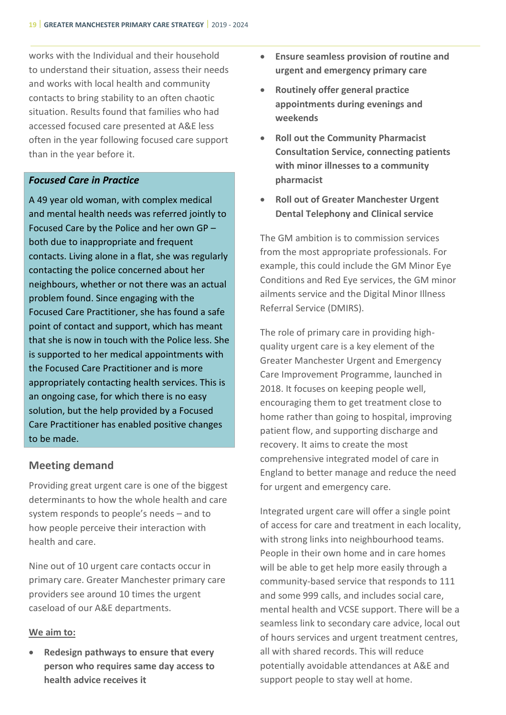works with the Individual and their household to understand their situation, assess their needs and works with local health and community contacts to bring stability to an often chaotic situation. Results found that families who had accessed focused care presented at A&E less often in the year following focused care support than in the year before it.

# *Focused Care in Practice*

A 49 year old woman, with complex medical and mental health needs was referred jointly to Focused Care by the Police and her own GP – both due to inappropriate and frequent contacts. Living alone in a flat, she was regularly contacting the police concerned about her neighbours, whether or not there was an actual problem found. Since engaging with the Focused Care Practitioner, she has found a safe point of contact and support, which has meant that she is now in touch with the Police less. She is supported to her medical appointments with the Focused Care Practitioner and is more appropriately contacting health services. This is an ongoing case, for which there is no easy solution, but the help provided by a Focused Care Practitioner has enabled positive changes to be made.

# **Meeting demand**

Providing great urgent care is one of the biggest determinants to how the whole health and care system responds to people's needs – and to how people perceive their interaction with health and care.

Nine out of 10 urgent care contacts occur in primary care. Greater Manchester primary care providers see around 10 times the urgent caseload of our A&E departments.

#### **We aim to:**

• **Redesign pathways to ensure that every person who requires same day access to health advice receives it**

- **Ensure seamless provision of routine and urgent and emergency primary care**
- **Routinely offer general practice appointments during evenings and weekends**
- **Roll out the Community Pharmacist Consultation Service, connecting patients with minor illnesses to a community pharmacist**
- **Roll out of Greater Manchester Urgent Dental Telephony and Clinical service**

The GM ambition is to commission services from the most appropriate professionals. For example, this could include the GM Minor Eye Conditions and Red Eye services, the GM minor ailments service and the Digital Minor Illness Referral Service (DMIRS).

The role of primary care in providing highquality urgent care is a key element of the Greater Manchester Urgent and Emergency Care Improvement Programme, launched in 2018. It focuses on keeping people well, encouraging them to get treatment close to home rather than going to hospital, improving patient flow, and supporting discharge and recovery. It aims to create the most comprehensive integrated model of care in England to better manage and reduce the need for urgent and emergency care.

Integrated urgent care will offer a single point of access for care and treatment in each locality, with strong links into neighbourhood teams. People in their own home and in care homes will be able to get help more easily through a community-based service that responds to 111 and some 999 calls, and includes social care, mental health and VCSE support. There will be a seamless link to secondary care advice, local out of hours services and urgent treatment centres, all with shared records. This will reduce potentially avoidable attendances at A&E and support people to stay well at home.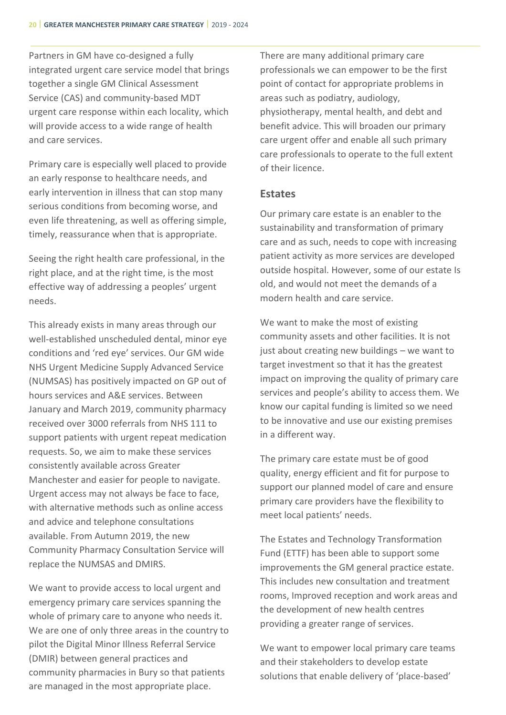Partners in GM have co-designed a fully integrated urgent care service model that brings together a single GM Clinical Assessment Service (CAS) and community-based MDT urgent care response within each locality, which will provide access to a wide range of health and care services.

Primary care is especially well placed to provide an early response to healthcare needs, and early intervention in illness that can stop many serious conditions from becoming worse, and even life threatening, as well as offering simple, timely, reassurance when that is appropriate.

Seeing the right health care professional, in the right place, and at the right time, is the most effective way of addressing a peoples' urgent needs.

This already exists in many areas through our well-established unscheduled dental, minor eye conditions and 'red eye' services. Our GM wide NHS Urgent Medicine Supply Advanced Service (NUMSAS) has positively impacted on GP out of hours services and A&E services. Between January and March 2019, community pharmacy received over 3000 referrals from NHS 111 to support patients with urgent repeat medication requests. So, we aim to make these services consistently available across Greater Manchester and easier for people to navigate. Urgent access may not always be face to face, with alternative methods such as online access and advice and telephone consultations available. From Autumn 2019, the new Community Pharmacy Consultation Service will replace the NUMSAS and DMIRS.

We want to provide access to local urgent and emergency primary care services spanning the whole of primary care to anyone who needs it. We are one of only three areas in the country to pilot the Digital Minor Illness Referral Service (DMIR) between general practices and community pharmacies in Bury so that patients are managed in the most appropriate place.

There are many additional primary care professionals we can empower to be the first point of contact for appropriate problems in areas such as podiatry, audiology, physiotherapy, mental health, and debt and benefit advice. This will broaden our primary care urgent offer and enable all such primary care professionals to operate to the full extent of their licence.

#### **Estates**

Our primary care estate is an enabler to the sustainability and transformation of primary care and as such, needs to cope with increasing patient activity as more services are developed outside hospital. However, some of our estate Is old, and would not meet the demands of a modern health and care service.

We want to make the most of existing community assets and other facilities. It is not just about creating new buildings – we want to target investment so that it has the greatest impact on improving the quality of primary care services and people's ability to access them. We know our capital funding is limited so we need to be innovative and use our existing premises in a different way.

The primary care estate must be of good quality, energy efficient and fit for purpose to support our planned model of care and ensure primary care providers have the flexibility to meet local patients' needs.

The Estates and Technology Transformation Fund (ETTF) has been able to support some improvements the GM general practice estate. This includes new consultation and treatment rooms, Improved reception and work areas and the development of new health centres providing a greater range of services.

We want to empower local primary care teams and their stakeholders to develop estate solutions that enable delivery of 'place-based'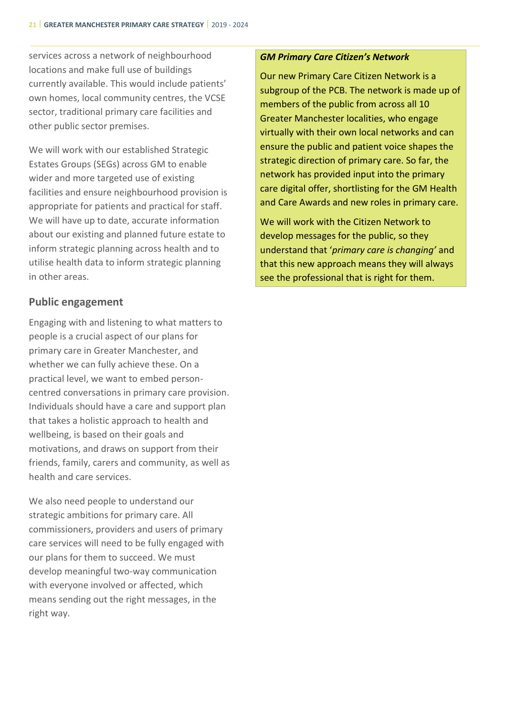services across a network of neighbourhood locations and make full use of buildings currently available. This would include patients' own homes, local community centres, the VCSE sector, traditional primary care facilities and other public sector premises.

We will work with our established Strategic Estates Groups (SEGs) across GM to enable wider and more targeted use of existing facilities and ensure neighbourhood provision is appropriate for patients and practical for staff. We will have up to date, accurate information about our existing and planned future estate to inform strategic planning across health and to utilise health data to inform strategic planning in other areas.

# **Public engagement**

Engaging with and listening to what matters to people is a crucial aspect of our plans for primary care in Greater Manchester, and whether we can fully achieve these. On a practical level, we want to embed personcentred conversations in primary care provision. Individuals should have a care and support plan that takes a holistic approach to health and wellbeing, is based on their goals and motivations, and draws on support from their friends, family, carers and community, as well as health and care services.

We also need people to understand our strategic ambitions for primary care. All commissioners, providers and users of primary care services will need to be fully engaged with our plans for them to succeed. We must develop meaningful two-way communication with everyone involved or affected, which means sending out the right messages, in the right way.

#### *GM Primary Care Citizen's Network*

Our new Primary Care Citizen Network is a subgroup of the PCB. The network is made up of members of the public from across all 10 Greater Manchester localities, who engage virtually with their own local networks and can ensure the public and patient voice shapes the strategic direction of primary care. So far, the network has provided input into the primary care digital offer, shortlisting for the GM Health and Care Awards and new roles in primary care.

We will work with the Citizen Network to develop messages for the public, so they understand that '*primary care is changing'* and that this new approach means they will always see the professional that is right for them.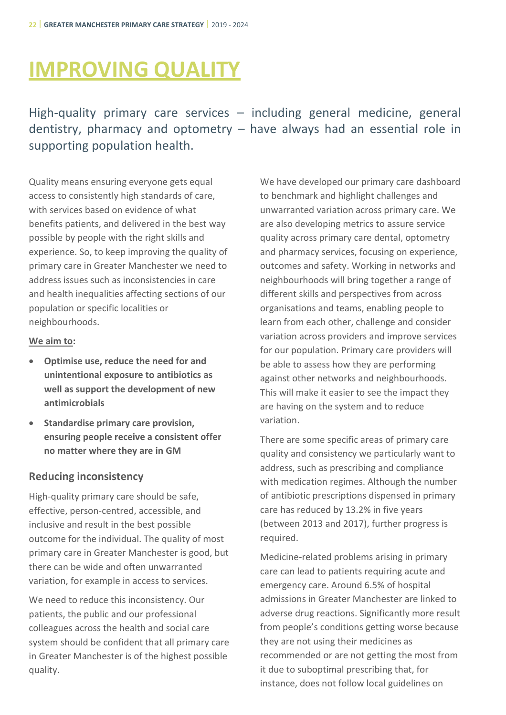# <span id="page-26-0"></span>**IMPROVING QUALITY**

High-quality primary care services – including general medicine, general dentistry, pharmacy and optometry – have always had an essential role in supporting population health.

Quality means ensuring everyone gets equal access to consistently high standards of care, with services based on evidence of what benefits patients, and delivered in the best way possible by people with the right skills and experience. So, to keep improving the quality of primary care in Greater Manchester we need to address issues such as inconsistencies in care and health inequalities affecting sections of our population or specific localities or neighbourhoods.

# **We aim to:**

- **Optimise use, reduce the need for and unintentional exposure to antibiotics as well as support the development of new antimicrobials**
- **Standardise primary care provision, ensuring people receive a consistent offer no matter where they are in GM**

# **Reducing inconsistency**

High-quality primary care should be safe, effective, person-centred, accessible, and inclusive and result in the best possible outcome for the individual. The quality of most primary care in Greater Manchester is good, but there can be wide and often unwarranted variation, for example in access to services.

We need to reduce this inconsistency. Our patients, the public and our professional colleagues across the health and social care system should be confident that all primary care in Greater Manchester is of the highest possible quality.

We have developed our primary care dashboard to benchmark and highlight challenges and unwarranted variation across primary care. We are also developing metrics to assure service quality across primary care dental, optometry and pharmacy services, focusing on experience, outcomes and safety. Working in networks and neighbourhoods will bring together a range of different skills and perspectives from across organisations and teams, enabling people to learn from each other, challenge and consider variation across providers and improve services for our population. Primary care providers will be able to assess how they are performing against other networks and neighbourhoods. This will make it easier to see the impact they are having on the system and to reduce variation.

There are some specific areas of primary care quality and consistency we particularly want to address, such as prescribing and compliance with medication regimes. Although the number of antibiotic prescriptions dispensed in primary care has reduced by 13.2% in five years (between 2013 and 2017), further progress is required.

Medicine-related problems arising in primary care can lead to patients requiring acute and emergency care. Around 6.5% of hospital admissions in Greater Manchester are linked to adverse drug reactions. Significantly more result from people's conditions getting worse because they are not using their medicines as recommended or are not getting the most from it due to suboptimal prescribing that, for instance, does not follow local guidelines on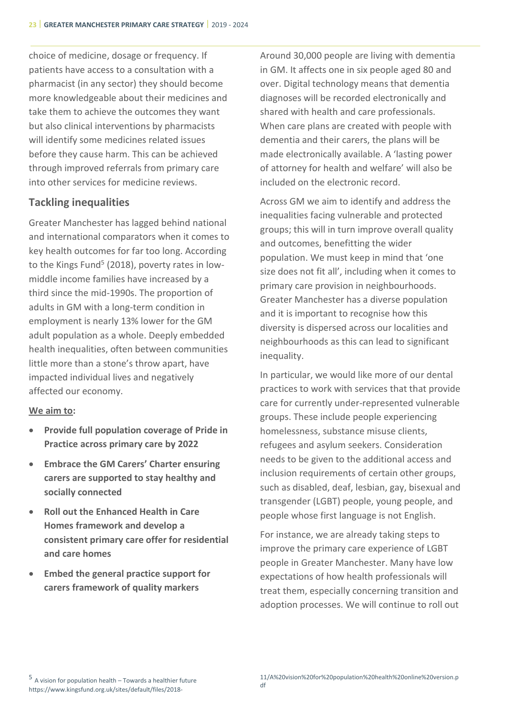choice of medicine, dosage or frequency. If patients have access to a consultation with a pharmacist (in any sector) they should become more knowledgeable about their medicines and take them to achieve the outcomes they want but also clinical interventions by pharmacists will identify some medicines related issues before they cause harm. This can be achieved through improved referrals from primary care into other services for medicine reviews.

# **Tackling inequalities**

Greater Manchester has lagged behind national and international comparators when it comes to key health outcomes for far too long. According to the Kings Fund<sup>5</sup> (2018), poverty rates in lowmiddle income families have increased by a third since the mid-1990s. The proportion of adults in GM with a long-term condition in employment is nearly 13% lower for the GM adult population as a whole. Deeply embedded health inequalities, often between communities little more than a stone's throw apart, have impacted individual lives and negatively affected our economy.

# **We aim to:**

- **Provide full population coverage of Pride in Practice across primary care by 2022**
- **Embrace the GM Carers' Charter ensuring carers are supported to stay healthy and socially connected**
- **Roll out the Enhanced Health in Care Homes framework and develop a consistent primary care offer for residential and care homes**
- **Embed the general practice support for carers framework of quality markers**

Around 30,000 people are living with dementia in GM. It affects one in six people aged 80 and over. Digital technology means that dementia diagnoses will be recorded electronically and shared with health and care professionals. When care plans are created with people with dementia and their carers, the plans will be made electronically available. A 'lasting power of attorney for health and welfare' will also be included on the electronic record.

Across GM we aim to identify and address the inequalities facing vulnerable and protected groups; this will in turn improve overall quality and outcomes, benefitting the wider population. We must keep in mind that 'one size does not fit all', including when it comes to primary care provision in neighbourhoods. Greater Manchester has a diverse population and it is important to recognise how this diversity is dispersed across our localities and neighbourhoods as this can lead to significant inequality.

In particular, we would like more of our dental practices to work with services that that provide care for currently under-represented vulnerable groups. These include people experiencing homelessness, substance misuse clients, refugees and asylum seekers. Consideration needs to be given to the additional access and inclusion requirements of certain other groups, such as disabled, deaf, lesbian, gay, bisexual and transgender (LGBT) people, young people, and people whose first language is not English.

For instance, we are already taking steps to improve the primary care experience of LGBT people in Greater Manchester. Many have low expectations of how health professionals will treat them, especially concerning transition and adoption processes. We will continue to roll out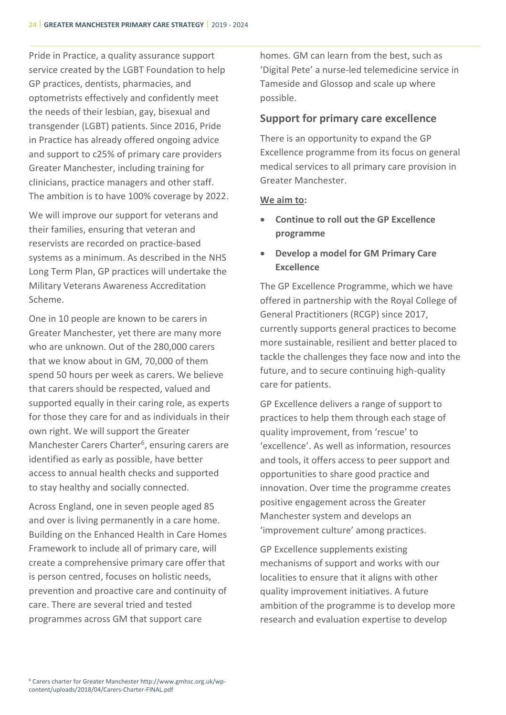Pride in Practice, a quality assurance support service created by the LGBT Foundation to help GP practices, dentists, pharmacies, and optometrists effectively and confidently meet the needs of their lesbian, gay, bisexual and transgender (LGBT) patients. Since 2016, Pride in Practice has already offered ongoing advice and support to c25% of primary care providers Greater Manchester, including training for clinicians, practice managers and other staff. The ambition is to have 100% coverage by 2022.

We will improve our support for veterans and their families, ensuring that veteran and reservists are recorded on practice-based systems as a minimum. As described in the NHS Long Term Plan, GP practices will undertake the Military Veterans Awareness Accreditation Scheme.

One in 10 people are known to be carers in Greater Manchester, yet there are many more who are unknown. Out of the 280,000 carers that we know about in GM, 70,000 of them spend 50 hours per week as carers. We believe that carers should be respected, valued and supported equally in their caring role, as experts for those they care for and as individuals in their own right. We will support the Greater Manchester Carers Charter<sup>6</sup>, ensuring carers are identified as early as possible, have better access to annual health checks and supported to stay healthy and socially connected.

Across England, one in seven people aged 85 and over is living permanently in a care home. Building on the Enhanced Health in Care Homes Framework to include all of primary care, will create a comprehensive primary care offer that is person centred, focuses on holistic needs, prevention and proactive care and continuity of care. There are several tried and tested programmes across GM that support care

homes. GM can learn from the best, such as 'Digital Pete' a nurse-led telemedicine service in Tameside and Glossop and scale up where possible.

#### **Support for primary care excellence**

There is an opportunity to expand the GP Excellence programme from its focus on general medical services to all primary care provision in Greater Manchester.

#### **We aim to:**

- **Continue to roll out the GP Excellence programme**
- **Develop a model for GM Primary Care Excellence**

The GP Excellence Programme, which we have offered in partnership with the Royal College of General Practitioners (RCGP) since 2017, currently supports general practices to become more sustainable, resilient and better placed to tackle the challenges they face now and into the future, and to secure continuing high-quality care for patients.

GP Excellence delivers a range of support to practices to help them through each stage of quality improvement, from 'rescue' to 'excellence'. As well as information, resources and tools, it offers access to peer support and opportunities to share good practice and innovation. Over time the programme creates positive engagement across the Greater Manchester system and develops an 'improvement culture' among practices.

GP Excellence supplements existing mechanisms of support and works with our localities to ensure that it aligns with other quality improvement initiatives. A future ambition of the programme is to develop more research and evaluation expertise to develop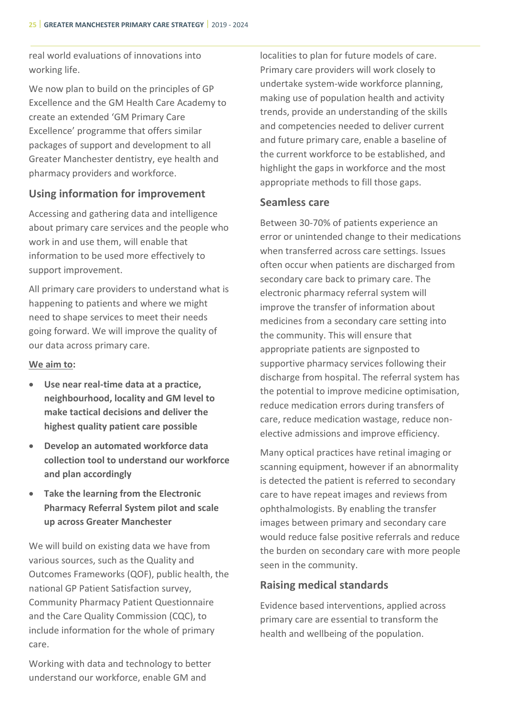real world evaluations of innovations into working life.

We now plan to build on the principles of GP Excellence and the GM Health Care Academy to create an extended 'GM Primary Care Excellence' programme that offers similar packages of support and development to all Greater Manchester dentistry, eye health and pharmacy providers and workforce.

# **Using information for improvement**

Accessing and gathering data and intelligence about primary care services and the people who work in and use them, will enable that information to be used more effectively to support improvement.

All primary care providers to understand what is happening to patients and where we might need to shape services to meet their needs going forward. We will improve the quality of our data across primary care.

# **We aim to:**

- **Use near real-time data at a practice, neighbourhood, locality and GM level to make tactical decisions and deliver the highest quality patient care possible**
- **Develop an automated workforce data collection tool to understand our workforce and plan accordingly**
- **Take the learning from the Electronic Pharmacy Referral System pilot and scale up across Greater Manchester**

We will build on existing data we have from various sources, such as the Quality and Outcomes Frameworks (QOF), public health, the national GP Patient Satisfaction survey, Community Pharmacy Patient Questionnaire and the Care Quality Commission (CQC), to include information for the whole of primary care.

Working with data and technology to better understand our workforce, enable GM and

localities to plan for future models of care. Primary care providers will work closely to undertake system-wide workforce planning, making use of population health and activity trends, provide an understanding of the skills and competencies needed to deliver current and future primary care, enable a baseline of the current workforce to be established, and highlight the gaps in workforce and the most appropriate methods to fill those gaps.

# **Seamless care**

Between 30-70% of patients experience an error or unintended change to their medications when transferred across care settings. Issues often occur when patients are discharged from secondary care back to primary care. The electronic pharmacy referral system will improve the transfer of information about medicines from a secondary care setting into the community. This will ensure that appropriate patients are signposted to supportive pharmacy services following their discharge from hospital. The referral system has the potential to improve medicine optimisation, reduce medication errors during transfers of care, reduce medication wastage, reduce nonelective admissions and improve efficiency.

Many optical practices have retinal imaging or scanning equipment, however if an abnormality is detected the patient is referred to secondary care to have repeat images and reviews from ophthalmologists. By enabling the transfer images between primary and secondary care would reduce false positive referrals and reduce the burden on secondary care with more people seen in the community.

# **Raising medical standards**

Evidence based interventions, applied across primary care are essential to transform the health and wellbeing of the population.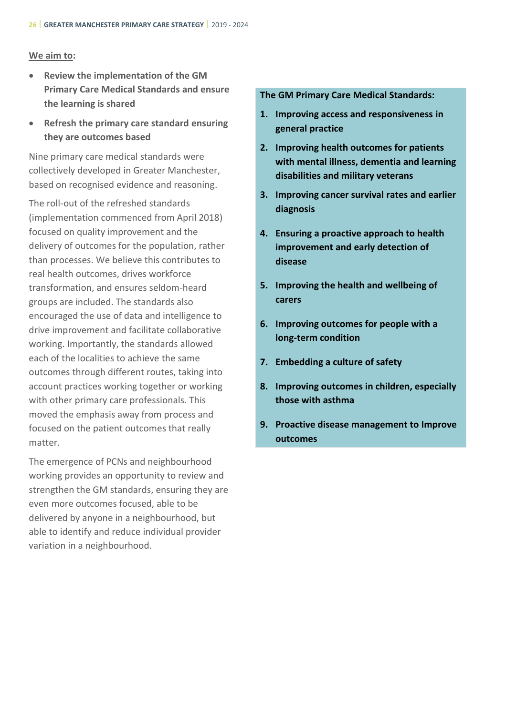#### **We aim to:**

- **Review the implementation of the GM Primary Care Medical Standards and ensure the learning is shared**
- **Refresh the primary care standard ensuring they are outcomes based**

Nine primary care medical standards were collectively developed in Greater Manchester, based on recognised evidence and reasoning.

The roll-out of the refreshed standards (implementation commenced from April 2018) focused on quality improvement and the delivery of outcomes for the population, rather than processes. We believe this contributes to real health outcomes, drives workforce transformation, and ensures seldom-heard groups are included. The standards also encouraged the use of data and intelligence to drive improvement and facilitate collaborative working. Importantly, the standards allowed each of the localities to achieve the same outcomes through different routes, taking into account practices working together or working with other primary care professionals. This moved the emphasis away from process and focused on the patient outcomes that really matter.

The emergence of PCNs and neighbourhood working provides an opportunity to review and strengthen the GM standards, ensuring they are even more outcomes focused, able to be delivered by anyone in a neighbourhood, but able to identify and reduce individual provider variation in a neighbourhood.

#### **The GM Primary Care Medical Standards:**

- **1. Improving access and responsiveness in general practice**
- **2. Improving health outcomes for patients with mental illness, dementia and learning disabilities and military veterans**
- **3. Improving cancer survival rates and earlier diagnosis**
- **4. Ensuring a proactive approach to health improvement and early detection of disease**
- **5. Improving the health and wellbeing of carers**
- **6. Improving outcomes for people with a long-term condition**
- **7. Embedding a culture of safety**
- **8. Improving outcomes in children, especially those with asthma**
- **9. Proactive disease management to Improve outcomes**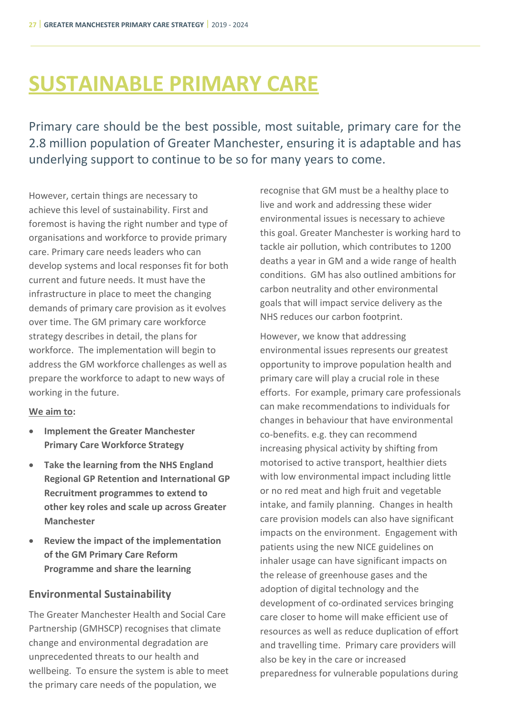# <span id="page-31-0"></span>**SUSTAINABLE PRIMARY CARE**

Primary care should be the best possible, most suitable, primary care for the 2.8 million population of Greater Manchester, ensuring it is adaptable and has underlying support to continue to be so for many years to come.

However, certain things are necessary to achieve this level of sustainability. First and foremost is having the right number and type of organisations and workforce to provide primary care. Primary care needs leaders who can develop systems and local responses fit for both current and future needs. It must have the infrastructure in place to meet the changing demands of primary care provision as it evolves over time. The GM primary care workforce strategy describes in detail, the plans for workforce. The implementation will begin to address the GM workforce challenges as well as prepare the workforce to adapt to new ways of working in the future.

# **We aim to:**

- **Implement the Greater Manchester Primary Care Workforce Strategy**
- **Take the learning from the NHS England Regional GP Retention and International GP Recruitment programmes to extend to other key roles and scale up across Greater Manchester**
- **Review the impact of the implementation of the GM Primary Care Reform Programme and share the learning**

# **Environmental Sustainability**

The Greater Manchester Health and Social Care Partnership (GMHSCP) recognises that climate change and environmental degradation are unprecedented threats to our health and wellbeing. To ensure the system is able to meet the primary care needs of the population, we

recognise that GM must be a healthy place to live and work and addressing these wider environmental issues is necessary to achieve this goal. Greater Manchester is working hard to tackle air pollution, which contributes to 1200 deaths a year in GM and a wide range of health conditions. GM has also outlined ambitions for carbon neutrality and other environmental goals that will impact service delivery as the NHS reduces our carbon footprint.

However, we know that addressing environmental issues represents our greatest opportunity to improve population health and primary care will play a crucial role in these efforts. For example, primary care professionals can make recommendations to individuals for changes in behaviour that have environmental co-benefits. e.g. they can recommend increasing physical activity by shifting from motorised to active transport, healthier diets with low environmental impact including little or no red meat and high fruit and vegetable intake, and family planning. Changes in health care provision models can also have significant impacts on the environment. Engagement with patients using the new NICE guidelines on inhaler usage can have significant impacts on the release of greenhouse gases and the adoption of digital technology and the development of co-ordinated services bringing care closer to home will make efficient use of resources as well as reduce duplication of effort and travelling time. Primary care providers will also be key in the care or increased preparedness for vulnerable populations during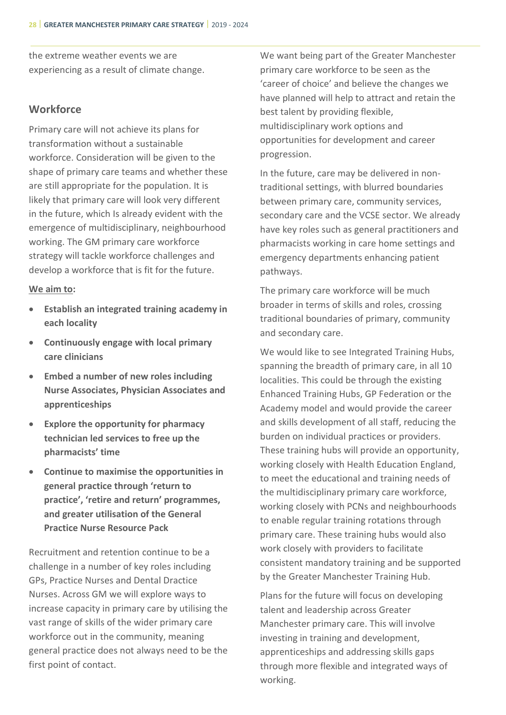the extreme weather events we are experiencing as a result of climate change.

# **Workforce**

Primary care will not achieve its plans for transformation without a sustainable workforce. Consideration will be given to the shape of primary care teams and whether these are still appropriate for the population. It is likely that primary care will look very different in the future, which Is already evident with the emergence of multidisciplinary, neighbourhood working. The GM primary care workforce strategy will tackle workforce challenges and develop a workforce that is fit for the future.

#### **We aim to:**

- **Establish an integrated training academy in each locality**
- **Continuously engage with local primary care clinicians**
- **Embed a number of new roles including Nurse Associates, Physician Associates and apprenticeships**
- **Explore the opportunity for pharmacy technician led services to free up the pharmacists' time**
- **Continue to maximise the opportunities in general practice through 'return to practice', 'retire and return' programmes, and greater utilisation of the General Practice Nurse Resource Pack**

Recruitment and retention continue to be a challenge in a number of key roles including GPs, Practice Nurses and Dental Dractice Nurses. Across GM we will explore ways to increase capacity in primary care by utilising the vast range of skills of the wider primary care workforce out in the community, meaning general practice does not always need to be the first point of contact.

We want being part of the Greater Manchester primary care workforce to be seen as the 'career of choice' and believe the changes we have planned will help to attract and retain the best talent by providing flexible, multidisciplinary work options and opportunities for development and career progression.

In the future, care may be delivered in nontraditional settings, with blurred boundaries between primary care, community services, secondary care and the VCSE sector. We already have key roles such as general practitioners and pharmacists working in care home settings and emergency departments enhancing patient pathways.

The primary care workforce will be much broader in terms of skills and roles, crossing traditional boundaries of primary, community and secondary care.

We would like to see Integrated Training Hubs, spanning the breadth of primary care, in all 10 localities. This could be through the existing Enhanced Training Hubs, GP Federation or the Academy model and would provide the career and skills development of all staff, reducing the burden on individual practices or providers. These training hubs will provide an opportunity, working closely with Health Education England, to meet the educational and training needs of the multidisciplinary primary care workforce, working closely with PCNs and neighbourhoods to enable regular training rotations through primary care. These training hubs would also work closely with providers to facilitate consistent mandatory training and be supported by the Greater Manchester Training Hub.

Plans for the future will focus on developing talent and leadership across Greater Manchester primary care. This will involve investing in training and development, apprenticeships and addressing skills gaps through more flexible and integrated ways of working.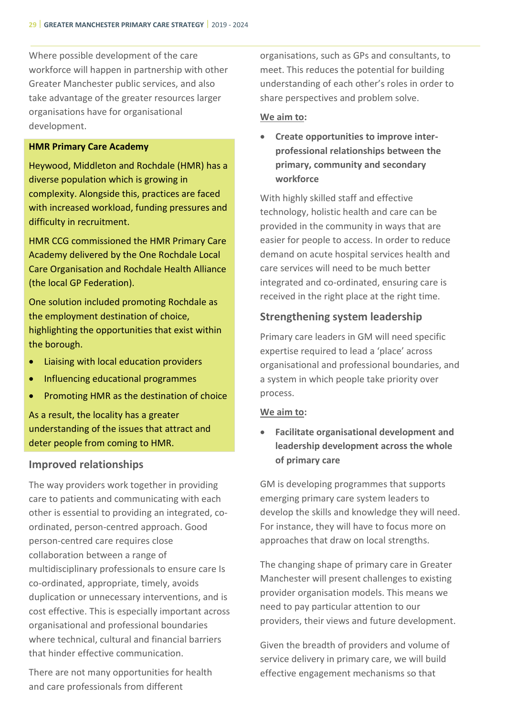Where possible development of the care workforce will happen in partnership with other Greater Manchester public services, and also take advantage of the greater resources larger organisations have for organisational development.

#### **HMR Primary Care Academy**

Heywood, Middleton and Rochdale (HMR) has a diverse population which is growing in complexity. Alongside this, practices are faced with increased workload, funding pressures and difficulty in recruitment.

HMR CCG commissioned the HMR Primary Care Academy delivered by the One Rochdale Local Care Organisation and Rochdale Health Alliance (the local GP Federation).

One solution included promoting Rochdale as the employment destination of choice, highlighting the opportunities that exist within the borough.

- Liaising with local education providers
- Influencing educational programmes
- Promoting HMR as the destination of choice

As a result, the locality has a greater understanding of the issues that attract and deter people from coming to HMR.

#### **Improved relationships**

The way providers work together in providing care to patients and communicating with each other is essential to providing an integrated, coordinated, person-centred approach. Good person-centred care requires close collaboration between a range of multidisciplinary professionals to ensure care Is co-ordinated, appropriate, timely, avoids duplication or unnecessary interventions, and is cost effective. This is especially important across organisational and professional boundaries where technical, cultural and financial barriers that hinder effective communication.

There are not many opportunities for health and care professionals from different

organisations, such as GPs and consultants, to meet. This reduces the potential for building understanding of each other's roles in order to share perspectives and problem solve.

#### **We aim to:**

• **Create opportunities to improve interprofessional relationships between the primary, community and secondary workforce**

With highly skilled staff and effective technology, holistic health and care can be provided in the community in ways that are easier for people to access. In order to reduce demand on acute hospital services health and care services will need to be much better integrated and co-ordinated, ensuring care is received in the right place at the right time.

# **Strengthening system leadership**

Primary care leaders in GM will need specific expertise required to lead a 'place' across organisational and professional boundaries, and a system in which people take priority over process.

# **We aim to:**

• **Facilitate organisational development and leadership development across the whole of primary care**

GM is developing programmes that supports emerging primary care system leaders to develop the skills and knowledge they will need. For instance, they will have to focus more on approaches that draw on local strengths.

The changing shape of primary care in Greater Manchester will present challenges to existing provider organisation models. This means we need to pay particular attention to our providers, their views and future development.

Given the breadth of providers and volume of service delivery in primary care, we will build effective engagement mechanisms so that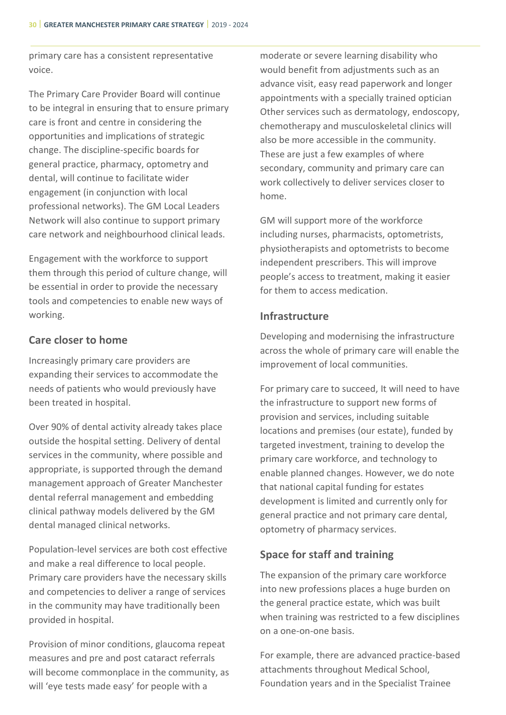primary care has a consistent representative voice.

The Primary Care Provider Board will continue to be integral in ensuring that to ensure primary care is front and centre in considering the opportunities and implications of strategic change. The discipline-specific boards for general practice, pharmacy, optometry and dental, will continue to facilitate wider engagement (in conjunction with local professional networks). The GM Local Leaders Network will also continue to support primary care network and neighbourhood clinical leads.

Engagement with the workforce to support them through this period of culture change, will be essential in order to provide the necessary tools and competencies to enable new ways of working.

# **Care closer to home**

Increasingly primary care providers are expanding their services to accommodate the needs of patients who would previously have been treated in hospital.

Over 90% of dental activity already takes place outside the hospital setting. Delivery of dental services in the community, where possible and appropriate, is supported through the demand management approach of Greater Manchester dental referral management and embedding clinical pathway models delivered by the GM dental managed clinical networks.

Population-level services are both cost effective and make a real difference to local people. Primary care providers have the necessary skills and competencies to deliver a range of services in the community may have traditionally been provided in hospital.

Provision of minor conditions, glaucoma repeat measures and pre and post cataract referrals will become commonplace in the community, as will 'eye tests made easy' for people with a

moderate or severe learning disability who would benefit from adjustments such as an advance visit, easy read paperwork and longer appointments with a specially trained optician Other services such as dermatology, endoscopy, chemotherapy and musculoskeletal clinics will also be more accessible in the community. These are just a few examples of where secondary, community and primary care can work collectively to deliver services closer to home.

GM will support more of the workforce including nurses, pharmacists, optometrists, physiotherapists and optometrists to become independent prescribers. This will improve people's access to treatment, making it easier for them to access medication.

# **Infrastructure**

Developing and modernising the infrastructure across the whole of primary care will enable the improvement of local communities.

For primary care to succeed, It will need to have the infrastructure to support new forms of provision and services, including suitable locations and premises (our estate), funded by targeted investment, training to develop the primary care workforce, and technology to enable planned changes. However, we do note that national capital funding for estates development is limited and currently only for general practice and not primary care dental, optometry of pharmacy services.

# **Space for staff and training**

The expansion of the primary care workforce into new professions places a huge burden on the general practice estate, which was built when training was restricted to a few disciplines on a one-on-one basis.

For example, there are advanced practice-based attachments throughout Medical School, Foundation years and in the Specialist Trainee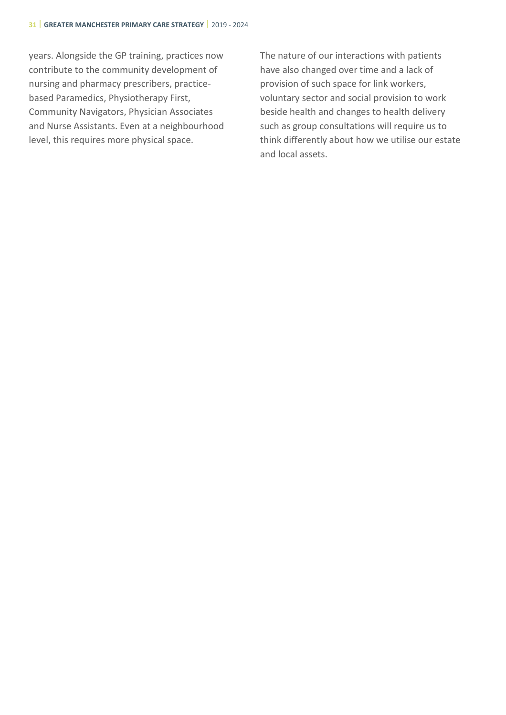<span id="page-35-0"></span>years. Alongside the GP training, practices now contribute to the community development of nursing and pharmacy prescribers, practicebased Paramedics, Physiotherapy First, Community Navigators, Physician Associates and Nurse Assistants. Even at a neighbourhood level, this requires more physical space.

The nature of our interactions with patients have also changed over time and a lack of provision of such space for link workers, voluntary sector and social provision to work beside health and changes to health delivery such as group consultations will require us to think differently about how we utilise our estate and local assets.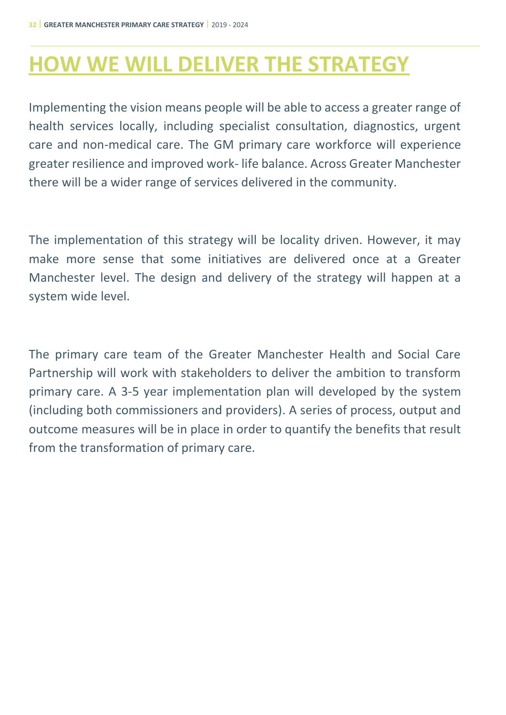# **HOW WE WILL DELIVER THE STRATEGY**

Implementing the vision means people will be able to access a greater range of health services locally, including specialist consultation, diagnostics, urgent care and non-medical care. The GM primary care workforce will experience greater resilience and improved work- life balance. Across Greater Manchester there will be a wider range of services delivered in the community.

The implementation of this strategy will be locality driven. However, it may make more sense that some initiatives are delivered once at a Greater Manchester level. The design and delivery of the strategy will happen at a system wide level.

The primary care team of the Greater Manchester Health and Social Care Partnership will work with stakeholders to deliver the ambition to transform primary care. A 3-5 year implementation plan will developed by the system (including both commissioners and providers). A series of process, output and outcome measures will be in place in order to quantify the benefits that result from the transformation of primary care.